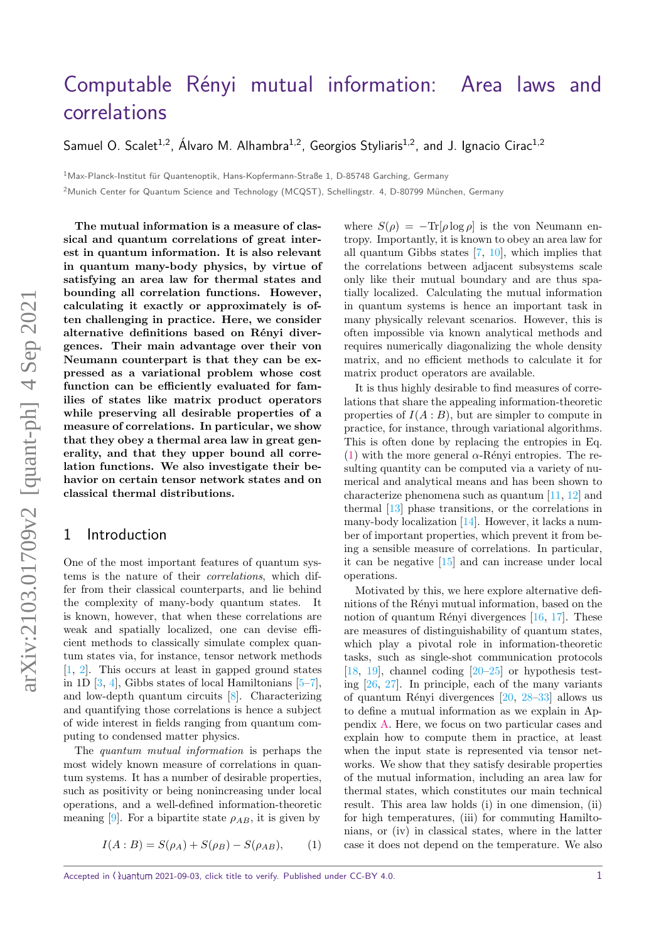# Computable Rényi mutual information: Area laws and [correlations](https://quantum-journal.org/?s=Computable%20R\)

Samuel O. Scalet<sup>1,2</sup>, Álvaro M. Alhambra<sup>1,2</sup>, Georgios Styliaris<sup>1,2</sup>, and J. Ignacio Cirac<sup>1,2</sup>

<sup>1</sup>Max-Planck-Institut für Quantenoptik, Hans-Kopfermann-Straße 1, D-85748 Garching, Germany

<sup>2</sup> Munich Center for Quantum Science and Technology (MCQST), Schellingstr. 4, D-80799 München, Germany

**The mutual information is a measure of classical and quantum correlations of great interest in quantum information. It is also relevant in quantum many-body physics, by virtue of satisfying an area law for thermal states and bounding all correlation functions. However, calculating it exactly or approximately is often challenging in practice. Here, we consider** alternative definitions based on Rényi diver**gences. Their main advantage over their von Neumann counterpart is that they can be expressed as a variational problem whose cost function can be efficiently evaluated for families of states like matrix product operators while preserving all desirable properties of a measure of correlations. In particular, we show that they obey a thermal area law in great generality, and that they upper bound all correlation functions. We also investigate their behavior on certain tensor network states and on classical thermal distributions.**

## 1 Introduction

One of the most important features of quantum systems is the nature of their correlations, which differ from their classical counterparts, and lie behind the complexity of many-body quantum states. It is known, however, that when these correlations are weak and spatially localized, one can devise efficient methods to classically simulate complex quantum states via, for instance, tensor network methods [\[1,](#page-5-0) [2\]](#page-5-1). This occurs at least in gapped ground states in 1D  $[3, 4]$  $[3, 4]$  $[3, 4]$ , Gibbs states of local Hamiltonians  $[5-7]$  $[5-7]$ , and low-depth quantum circuits [\[8\]](#page-5-6). Characterizing and quantifying those correlations is hence a subject of wide interest in fields ranging from quantum computing to condensed matter physics.

The quantum mutual information is perhaps the most widely known measure of correlations in quantum systems. It has a number of desirable properties, such as positivity or being nonincreasing under local operations, and a well-defined information-theoretic meaning [\[9\]](#page-5-7). For a bipartite state  $\rho_{AB}$ , it is given by

<span id="page-0-0"></span>
$$
I(A:B) = S(\rho_A) + S(\rho_B) - S(\rho_{AB}), \qquad (1)
$$

where  $S(\rho) = -\text{Tr}[\rho \log \rho]$  is the von Neumann entropy. Importantly, it is known to obey an area law for all quantum Gibbs states [\[7,](#page-5-5) [10\]](#page-5-8), which implies that the correlations between adjacent subsystems scale only like their mutual boundary and are thus spatially localized. Calculating the mutual information in quantum systems is hence an important task in many physically relevant scenarios. However, this is often impossible via known analytical methods and requires numerically diagonalizing the whole density matrix, and no efficient methods to calculate it for matrix product operators are available.

It is thus highly desirable to find measures of correlations that share the appealing information-theoretic properties of  $I(A:B)$ , but are simpler to compute in practice, for instance, through variational algorithms. This is often done by replacing the entropies in Eq. [\(1\)](#page-0-0) with the more general  $\alpha$ -Rényi entropies. The resulting quantity can be computed via a variety of numerical and analytical means and has been shown to characterize phenomena such as quantum [\[11,](#page-5-9) [12\]](#page-5-10) and thermal [\[13\]](#page-5-11) phase transitions, or the correlations in many-body localization [\[14\]](#page-5-12). However, it lacks a number of important properties, which prevent it from being a sensible measure of correlations. In particular, it can be negative [\[15\]](#page-5-13) and can increase under local operations.

Motivated by this, we here explore alternative definitions of the Rényi mutual information, based on the notion of quantum Rényi divergences  $[16, 17]$  $[16, 17]$  $[16, 17]$ . These are measures of distinguishability of quantum states, which play a pivotal role in information-theoretic tasks, such as single-shot communication protocols [\[18,](#page-5-16) [19\]](#page-5-17), channel coding  $[20-25]$  $[20-25]$  or hypothesis testing [\[26,](#page-5-20) [27\]](#page-5-21). In principle, each of the many variants of quantum Rényi divergences  $[20, 28-33]$  $[20, 28-33]$  $[20, 28-33]$  $[20, 28-33]$  allows us to define a mutual information as we explain in Appendix [A.](#page-6-0) Here, we focus on two particular cases and explain how to compute them in practice, at least when the input state is represented via tensor networks. We show that they satisfy desirable properties of the mutual information, including an area law for thermal states, which constitutes our main technical result. This area law holds (i) in one dimension, (ii) for high temperatures, (iii) for commuting Hamiltonians, or (iv) in classical states, where in the latter case it does not depend on the temperature. We also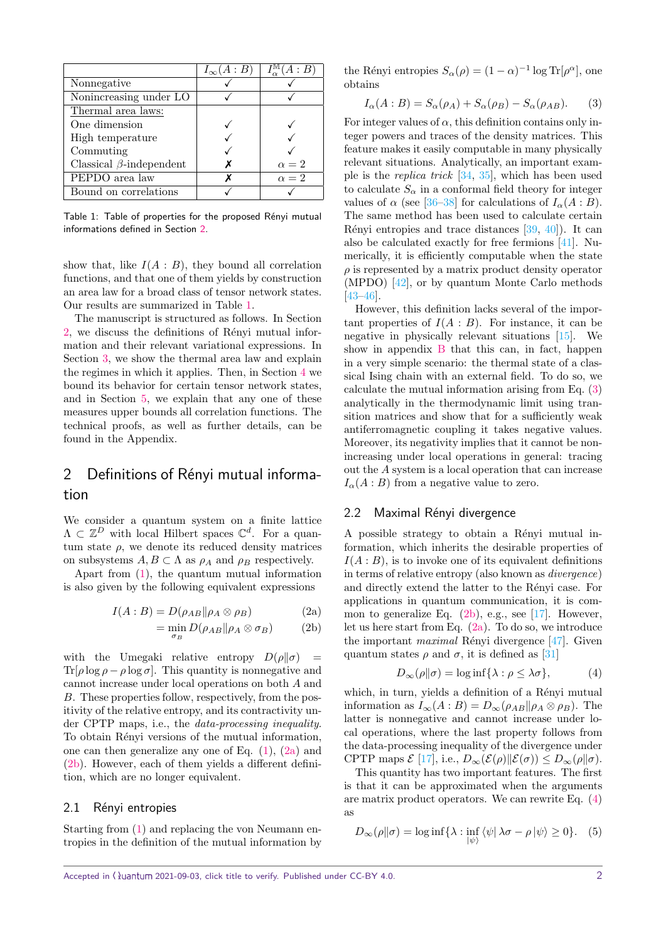<span id="page-1-1"></span>

|                                | $I_{\infty}(A:B)$ | $I_{\alpha}^{\mathbb{M}}(A:B)$ |
|--------------------------------|-------------------|--------------------------------|
| Nonnegative                    |                   |                                |
| Nonincreasing under LO         |                   |                                |
| Thermal area laws:             |                   |                                |
| One dimension                  |                   |                                |
| High temperature               |                   |                                |
| Commuting                      |                   |                                |
| Classical $\beta$ -independent |                   | $\alpha = 2$                   |
| PEPDO area law                 |                   | $\alpha = 2$                   |
| Bound on correlations          |                   |                                |

Table 1: Table of properties for the proposed Rényi mutual informations defined in Section [2.](#page-1-0)

show that, like  $I(A : B)$ , they bound all correlation functions, and that one of them yields by construction an area law for a broad class of tensor network states. Our results are summarized in Table [1.](#page-1-1)

The manuscript is structured as follows. In Section [2,](#page-1-0) we discuss the definitions of Rényi mutual information and their relevant variational expressions. In Section [3,](#page-2-0) we show the thermal area law and explain the regimes in which it applies. Then, in Section [4](#page-4-0) we bound its behavior for certain tensor network states, and in Section [5,](#page-4-1) we explain that any one of these measures upper bounds all correlation functions. The technical proofs, as well as further details, can be found in the Appendix.

# <span id="page-1-0"></span>2 Definitions of Rényi mutual information

We consider a quantum system on a finite lattice  $\Lambda \subset \mathbb{Z}^D$  with local Hilbert spaces  $\mathbb{C}^d$ . For a quantum state  $\rho$ , we denote its reduced density matrices on subsystems  $A, B \subset \Lambda$  as  $\rho_A$  and  $\rho_B$  respectively.

Apart from [\(1\)](#page-0-0), the quantum mutual information is also given by the following equivalent expressions

$$
I(A:B) = D(\rho_{AB} || \rho_A \otimes \rho_B)
$$
 (2a)

$$
= \min_{\sigma_B} D(\rho_{AB} \| \rho_A \otimes \sigma_B)
$$
 (2b)

with the Umegaki relative entropy  $D(\rho||\sigma)$  = Tr[ $\rho$  log  $\rho - \rho$  log  $\sigma$ ]. This quantity is nonnegative and cannot increase under local operations on both *A* and *B*. These properties follow, respectively, from the positivity of the relative entropy, and its contractivity under CPTP maps, i.e., the data-processing inequality. To obtain Rényi versions of the mutual information, one can then generalize any one of Eq.  $(1)$ ,  $(2a)$  and [\(2b\)](#page-1-3). However, each of them yields a different definition, which are no longer equivalent.

#### 2.1 Rényi entropies

Starting from [\(1\)](#page-0-0) and replacing the von Neumann entropies in the definition of the mutual information by the Rényi entropies  $S_\alpha(\rho) = (1 - \alpha)^{-1} \log Tr[\rho^\alpha]$ , one obtains

<span id="page-1-4"></span>
$$
I_{\alpha}(A:B) = S_{\alpha}(\rho_A) + S_{\alpha}(\rho_B) - S_{\alpha}(\rho_{AB}).
$$
 (3)

For integer values of  $\alpha$ , this definition contains only integer powers and traces of the density matrices. This feature makes it easily computable in many physically relevant situations. Analytically, an important example is the *replica trick*  $[34, 35]$  $[34, 35]$  $[34, 35]$ , which has been used to calculate  $S_\alpha$  in a conformal field theory for integer values of  $\alpha$  (see [\[36](#page-5-26)[–38\]](#page-5-27) for calculations of  $I_{\alpha}(A:B)$ . The same method has been used to calculate certain Rényi entropies and trace distances  $[39, 40]$  $[39, 40]$  $[39, 40]$ ). It can also be calculated exactly for free fermions [\[41\]](#page-5-30). Numerically, it is efficiently computable when the state  $\rho$  is represented by a matrix product density operator (MPDO) [\[42\]](#page-5-31), or by quantum Monte Carlo methods [\[43](#page-5-32)[–46\]](#page-6-1).

However, this definition lacks several of the important properties of  $I(A : B)$ . For instance, it can be negative in physically relevant situations [\[15\]](#page-5-13). We show in appendix [B](#page-7-0) that this can, in fact, happen in a very simple scenario: the thermal state of a classical Ising chain with an external field. To do so, we calculate the mutual information arising from Eq. [\(3\)](#page-1-4) analytically in the thermodynamic limit using transition matrices and show that for a sufficiently weak antiferromagnetic coupling it takes negative values. Moreover, its negativity implies that it cannot be nonincreasing under local operations in general: tracing out the *A* system is a local operation that can increase  $I_{\alpha}(A:B)$  from a negative value to zero.

#### 2.2 Maximal Rényi divergence

<span id="page-1-2"></span>A possible strategy to obtain a Rényi mutual information, which inherits the desirable properties of  $I(A:B)$ , is to invoke one of its equivalent definitions in terms of relative entropy (also known as *divergence*) and directly extend the latter to the Rényi case. For applications in quantum communication, it is common to generalize Eq.  $(2b)$ , e.g., see [\[17\]](#page-5-15). However, let us here start from Eq. [\(2a\)](#page-1-2). To do so, we introduce the important *maximal* Rényi divergence  $[47]$ . Given quantum states  $\rho$  and  $\sigma$ , it is defined as [\[31\]](#page-5-33)

<span id="page-1-5"></span>
$$
D_{\infty}(\rho \| \sigma) = \log \inf \{ \lambda : \rho \le \lambda \sigma \}, \tag{4}
$$

<span id="page-1-3"></span>which, in turn, yields a definition of a Rényi mutual information as  $I_{\infty}(A : B) = D_{\infty}(\rho_{AB}|| \rho_A \otimes \rho_B)$ . The latter is nonnegative and cannot increase under local operations, where the last property follows from the data-processing inequality of the divergence under CPTP maps  $\mathcal{E}$  [\[17\]](#page-5-15), i.e.,  $D_{\infty}(\mathcal{E}(\rho) \| \mathcal{E}(\sigma)) \leq D_{\infty}(\rho \| \sigma)$ .

This quantity has two important features. The first is that it can be approximated when the arguments are matrix product operators. We can rewrite Eq. [\(4\)](#page-1-5) as

<span id="page-1-6"></span>
$$
D_{\infty}(\rho \|\sigma) = \log \inf \{ \lambda : \inf_{|\psi\rangle} \langle \psi | \lambda \sigma - \rho | \psi \rangle \ge 0 \}. \tag{5}
$$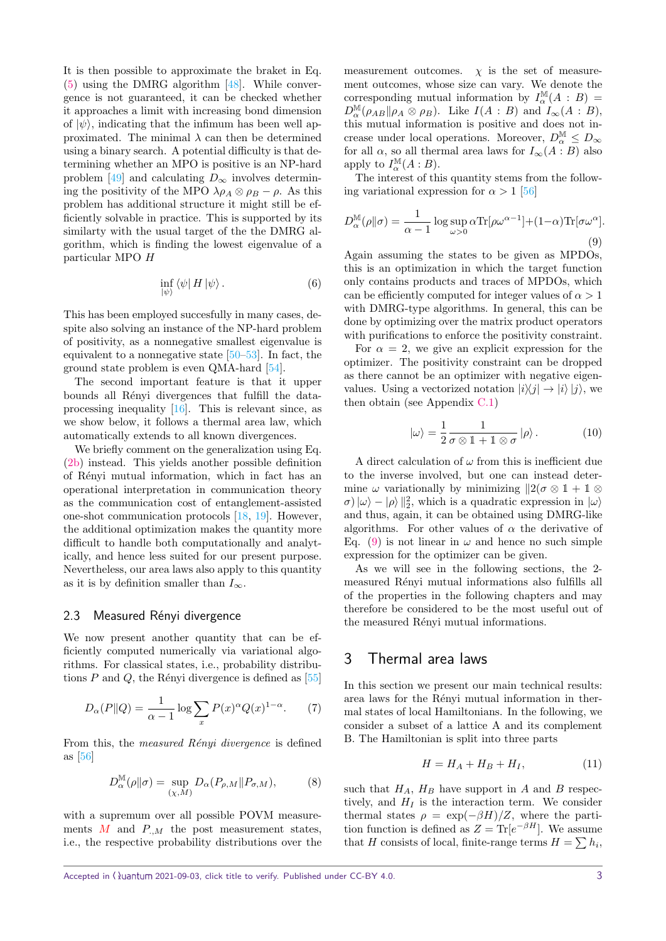It is then possible to approximate the braket in Eq. [\(5\)](#page-1-6) using the DMRG algorithm [\[48\]](#page-6-3). While convergence is not guaranteed, it can be checked whether it approaches a limit with increasing bond dimension of  $|\psi\rangle$ , indicating that the infimum has been well approximated. The minimal  $\lambda$  can then be determined using a binary search. A potential difficulty is that determining whether an MPO is positive is an NP-hard problem [\[49\]](#page-6-4) and calculating  $D_{\infty}$  involves determining the positivity of the MPO  $\lambda \rho_A \otimes \rho_B - \rho$ . As this problem has additional structure it might still be efficiently solvable in practice. This is supported by its similarty with the usual target of the the DMRG algorithm, which is finding the lowest eigenvalue of a particular MPO *H*

$$
\inf_{|\psi\rangle} \langle \psi | H | \psi \rangle. \tag{6}
$$

This has been employed succesfully in many cases, despite also solving an instance of the NP-hard problem of positivity, as a nonnegative smallest eigenvalue is equivalent to a nonnegative state  $[50-53]$  $[50-53]$ . In fact, the ground state problem is even QMA-hard [\[54\]](#page-6-7).

The second important feature is that it upper bounds all Rényi divergences that fulfill the dataprocessing inequality [\[16\]](#page-5-14). This is relevant since, as we show below, it follows a thermal area law, which automatically extends to all known divergences.

We briefly comment on the generalization using Eq. [\(2b\)](#page-1-3) instead. This yields another possible definition of R´enyi mutual information, which in fact has an operational interpretation in communication theory as the communication cost of entanglement-assisted one-shot communication protocols [\[18,](#page-5-16) [19\]](#page-5-17). However, the additional optimization makes the quantity more difficult to handle both computationally and analytically, and hence less suited for our present purpose. Nevertheless, our area laws also apply to this quantity as it is by definition smaller than  $I_{\infty}$ .

#### 2.3 Measured Rényi divergence

We now present another quantity that can be efficiently computed numerically via variational algorithms. For classical states, i.e., probability distributions  $P$  and  $Q$ , the Rényi divergence is defined as  $[55]$ 

<span id="page-2-2"></span>
$$
D_{\alpha}(P||Q) = \frac{1}{\alpha - 1} \log \sum_{x} P(x)^{\alpha} Q(x)^{1 - \alpha}.
$$
 (7)

From this, the *measured Rényi divergence* is defined as [\[56\]](#page-6-9)

$$
D_{\alpha}^{\mathbb{M}}(\rho \| \sigma) = \sup_{(\chi,M)} D_{\alpha}(P_{\rho,M} \| P_{\sigma,M}), \tag{8}
$$

with a supremum over all possible POVM measurements  $M$  and  $P_{\cdot,M}$  the post measurement states, i.e., the respective probability distributions over the measurement outcomes.  $\chi$  is the set of measurement outcomes, whose size can vary. We denote the corresponding mutual information by  $I_{\alpha}^{\mathbb{M}}(A : B)$  =  $D_{\alpha}^{\mathbb{M}}(\rho_{AB}||\rho_A \otimes \rho_B)$ . Like  $I(A : B)$  and  $I_{\infty}(A : B)$ , this mutual information is positive and does not increase under local operations. Moreover,  $D_{\alpha}^{\mathbb{M}} \leq D_{\infty}$ for all  $\alpha$ , so all thermal area laws for  $I_{\infty}(A : B)$  also apply to  $I_{\alpha}^{\mathbb{M}}(A:B)$ .

The interest of this quantity stems from the following variational expression for  $\alpha > 1$  [\[56\]](#page-6-9)

<span id="page-2-1"></span>
$$
D_{\alpha}^{\mathbb{M}}(\rho \| \sigma) = \frac{1}{\alpha - 1} \log \sup_{\omega > 0} \alpha \text{Tr}[\rho \omega^{\alpha - 1}] + (1 - \alpha) \text{Tr}[\sigma \omega^{\alpha}].
$$
\n(9)

Again assuming the states to be given as MPDOs, this is an optimization in which the target function only contains products and traces of MPDOs, which can be efficiently computed for integer values of *α >* 1 with DMRG-type algorithms. In general, this can be done by optimizing over the matrix product operators with purifications to enforce the positivity constraint.

For  $\alpha = 2$ , we give an explicit expression for the optimizer. The positivity constraint can be dropped as there cannot be an optimizer with negative eigenvalues. Using a vectorized notation  $|i\rangle\langle j| \rightarrow |i\rangle|j\rangle$ , we then obtain (see Appendix [C.1\)](#page-9-0)

<span id="page-2-3"></span>
$$
|\omega\rangle = \frac{1}{2} \frac{1}{\sigma \otimes 1 + 1 \otimes \sigma} |\rho\rangle.
$$
 (10)

A direct calculation of *ω* from this is inefficient due to the inverse involved, but one can instead determine  $\omega$  variationally by minimizing  $||2(\sigma \otimes 1 + 1 \otimes$  $\sigma$ )| $\omega$ } – | $\rho$ }||<sup>2</sup><sub>2</sub>, which is a quadratic expression in  $|\omega\rangle$ and thus, again, it can be obtained using DMRG-like algorithms. For other values of  $\alpha$  the derivative of Eq. [\(9\)](#page-2-1) is not linear in  $\omega$  and hence no such simple expression for the optimizer can be given.

As we will see in the following sections, the 2 measured Rényi mutual informations also fulfills all of the properties in the following chapters and may therefore be considered to be the most useful out of the measured Rényi mutual informations.

#### <span id="page-2-0"></span>3 Thermal area laws

In this section we present our main technical results: area laws for the Rényi mutual information in thermal states of local Hamiltonians. In the following, we consider a subset of a lattice A and its complement B. The Hamiltonian is split into three parts

$$
H = H_A + H_B + H_I, \tag{11}
$$

such that  $H_A$ ,  $H_B$  have support in *A* and *B* respectively, and  $H_I$  is the interaction term. We consider thermal states  $\rho = \exp(-\beta H)/Z$ , where the partition function is defined as  $Z = \text{Tr}[e^{-\beta H}]$ . We assume that *H* consists of local, finite-range terms  $H = \sum h_i$ ,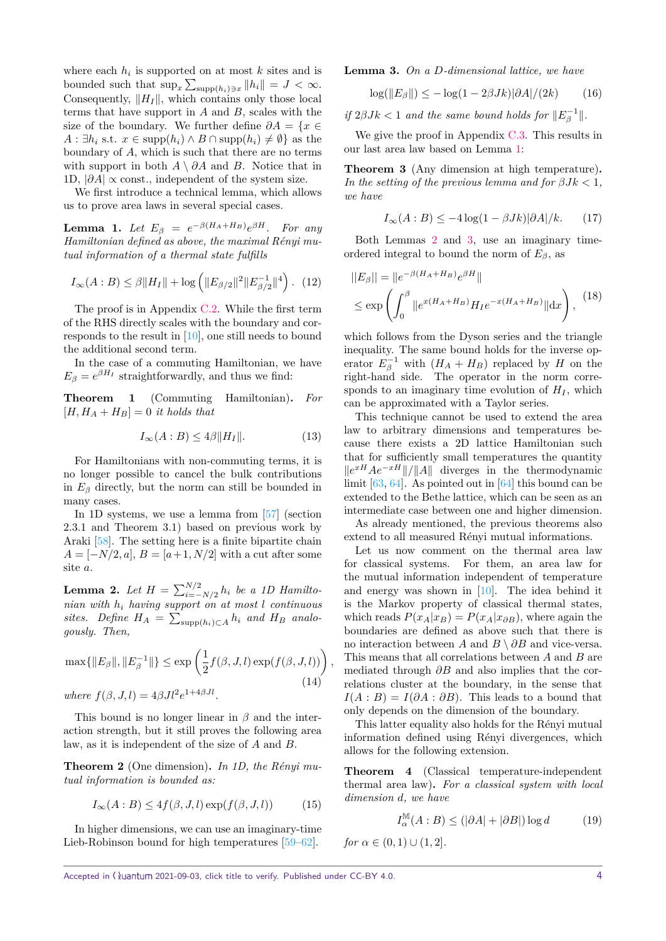where each  $h_i$  is supported on at most  $k$  sites and is bounded such that  $\sup_x \sum_{\text{supp}(h_i) \ni x} ||h_i|| = J < \infty$ . Consequently,  $||H_I||$ , which contains only those local terms that have support in *A* and *B*, scales with the size of the boundary. We further define  $\partial A = \{x \in$ *A* :  $\exists h_i$  s.t.  $x \in \text{supp}(h_i) \land B \cap \text{supp}(h_i) \neq \emptyset$  as the boundary of *A*, which is such that there are no terms with support in both  $A \setminus \partial A$  and *B*. Notice that in 1D,  $|\partial A| \propto$  const., independent of the system size.

We first introduce a technical lemma, which allows us to prove area laws in several special cases.

<span id="page-3-0"></span> ${\bf Lemma \ \ 1. \ \ } Let \ \ E_\beta \ = \ e^{-\beta(H_A+H_B)}e^{\beta H}. \quad For \ \ any$ *Hamiltonian defined as above, the maximal R´enyi mutual information of a thermal state fulfills*

$$
I_{\infty}(A:B) \le \beta ||H_I|| + \log \left( ||E_{\beta/2}||^2 ||E_{\beta/2}^{-1}||^4 \right). \tag{12}
$$

The proof is in Appendix [C.2.](#page-10-0) While the first term of the RHS directly scales with the boundary and corresponds to the result in [\[10\]](#page-5-8), one still needs to bound the additional second term.

In the case of a commuting Hamiltonian, we have  $E_{\beta} = e^{\beta H_I}$  straightforwardly, and thus we find:

<span id="page-3-3"></span>**Theorem 1** (Commuting Hamiltonian)**.** *For*  $[H, H_A + H_B] = 0$  *it holds that* 

$$
I_{\infty}(A:B) \le 4\beta \|H_I\|.\tag{13}
$$

For Hamiltonians with non-commuting terms, it is no longer possible to cancel the bulk contributions in  $E_\beta$  directly, but the norm can still be bounded in many cases.

In 1D systems, we use a lemma from [\[57\]](#page-6-10) (section 2.3.1 and Theorem 3.1) based on previous work by Araki [\[58\]](#page-6-11). The setting here is a finite bipartite chain  $A = [-N/2, a], B = [a+1, N/2]$  with a cut after some site *a*.

<span id="page-3-1"></span>**Lemma 2.** *Let*  $H = \sum_{i=-N/2}^{N/2} h_i$  *be a 1D Hamiltonian with h<sup>i</sup> having support on at most l continuous* sites. Define  $H_A = \sum_{\text{supp}(h_i) \subset A} h_i$  and  $H_B$  analo*gously. Then,*

$$
\max\{\|E_{\beta}\|, \|E_{\beta}^{-1}\|\} \le \exp\left(\frac{1}{2}f(\beta, J, l)\exp(f(\beta, J, l))\right)
$$
  
where  $f(\beta, J, l) = 4\beta J l^2 e^{1+4\beta J l}.$  (14)

This bound is no longer linear in *β* and the interaction strength, but it still proves the following area law, as it is independent of the size of *A* and *B*.

**Theorem 2** (One dimension). In 1D, the Rényi mu*tual information is bounded as:*

$$
I_{\infty}(A:B) \le 4f(\beta, J, l) \exp(f(\beta, J, l)) \tag{15}
$$

In higher dimensions, we can use an imaginary-time Lieb-Robinson bound for high temperatures [\[59](#page-6-12)[–62\]](#page-6-13).

<span id="page-3-2"></span>**Lemma 3.** *On a D-dimensional lattice, we have*

$$
\log(\|E_{\beta}\|) \le -\log(1 - 2\beta Jk)|\partial A|/(2k) \qquad (16)
$$

*if*  $2\beta Jk < 1$  *and the same bound holds for*  $||E_{\beta}^{-1}||$ .

We give the proof in Appendix [C.3.](#page-11-0) This results in our last area law based on Lemma [1:](#page-3-0)

**Theorem 3** (Any dimension at high temperature)**.** *In the setting of the previous lemma and for*  $\beta Jk < 1$ , *we have*

$$
I_{\infty}(A:B) \le -4\log(1 - \beta Jk)|\partial A|/k. \tag{17}
$$

Both Lemmas [2](#page-3-1) and [3,](#page-3-2) use an imaginary timeordered integral to bound the norm of  $E_\beta$ , as

$$
||E_{\beta}|| = ||e^{-\beta(H_A + H_B)} e^{\beta H}||
$$
  
\n
$$
\leq \exp\left(\int_0^{\beta} ||e^{x(H_A + H_B)} H_I e^{-x(H_A + H_B)}|| dx\right),
$$
 (18)

which follows from the Dyson series and the triangle inequality. The same bound holds for the inverse operator  $E_{\beta}^{-1}$  with  $(H_A + H_B)$  replaced by *H* on the right-hand side. The operator in the norm corresponds to an imaginary time evolution of  $H_I$ , which can be approximated with a Taylor series.

This technique cannot be used to extend the area law to arbitrary dimensions and temperatures because there exists a 2D lattice Hamiltonian such that for sufficiently small temperatures the quantity *k*<sup>*xH</sup> Ae*<sup>−*xH*</sup> |*i* / |*A* |*i* diverges in the thermodynamic</sup> limit [\[63,](#page-6-14) [64\]](#page-6-15). As pointed out in [\[64\]](#page-6-15) this bound can be extended to the Bethe lattice, which can be seen as an intermediate case between one and higher dimension.

As already mentioned, the previous theorems also extend to all measured Rényi mutual informations.

Let us now comment on the thermal area law for classical systems. For them, an area law for the mutual information independent of temperature and energy was shown in [\[10\]](#page-5-8). The idea behind it is the Markov property of classical thermal states, which reads  $P(x_A|x_B) = P(x_A|x_{\partial B})$ , where again the boundaries are defined as above such that there is no interaction between *A* and *B* \ *∂B* and vice-versa. This means that all correlations between *A* and *B* are mediated through *∂B* and also implies that the correlations cluster at the boundary, in the sense that  $I(A : B) = I(\partial A : \partial B)$ . This leads to a bound that only depends on the dimension of the boundary.

This latter equality also holds for the Rényi mutual information defined using Rényi divergences, which allows for the following extension.

<span id="page-3-4"></span>**Theorem 4** (Classical temperature-independent thermal area law)**.** *For a classical system with local dimension d, we have*

$$
I_{\alpha}^{\mathbb{M}}(A:B) \le (|\partial A| + |\partial B|) \log d \qquad (19)
$$

*for*  $\alpha \in (0,1) \cup (1,2]$ *.* 

*,*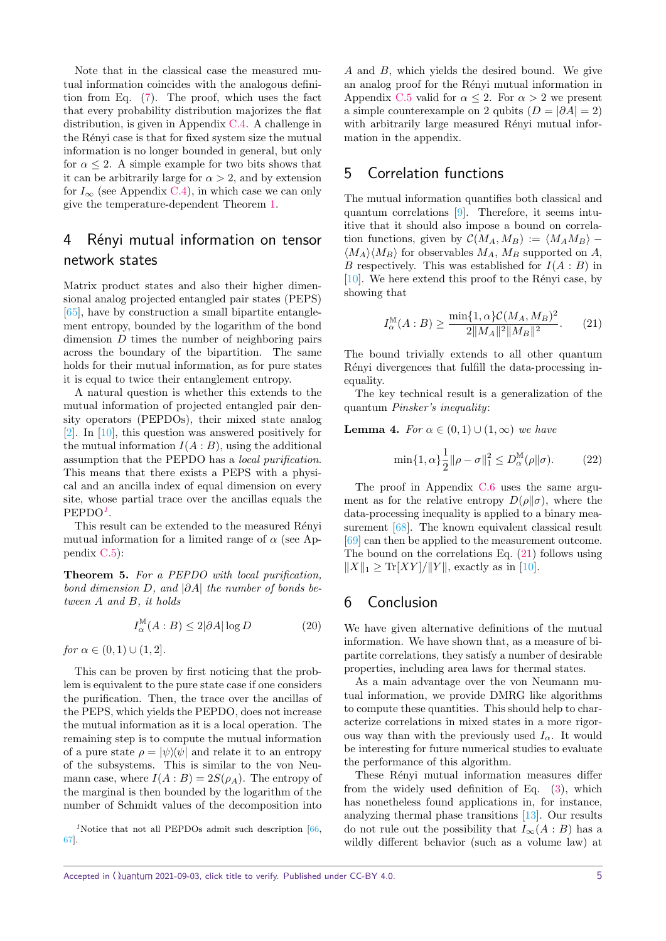Note that in the classical case the measured mutual information coincides with the analogous definition from Eq. [\(7\)](#page-2-2). The proof, which uses the fact that every probability distribution majorizes the flat distribution, is given in Appendix [C.4.](#page-12-0) A challenge in the Rényi case is that for fixed system size the mutual information is no longer bounded in general, but only for  $\alpha \leq 2$ . A simple example for two bits shows that it can be arbitrarily large for  $\alpha > 2$ , and by extension for  $I_{\infty}$  (see Appendix [C.4\)](#page-12-0), in which case we can only give the temperature-dependent Theorem [1.](#page-3-3)

# <span id="page-4-0"></span>4 Rényi mutual information on tensor network states

Matrix product states and also their higher dimensional analog projected entangled pair states (PEPS) [\[65\]](#page-6-16), have by construction a small bipartite entanglement entropy, bounded by the logarithm of the bond dimension *D* times the number of neighboring pairs across the boundary of the bipartition. The same holds for their mutual information, as for pure states it is equal to twice their entanglement entropy.

A natural question is whether this extends to the mutual information of projected entangled pair density operators (PEPDOs), their mixed state analog [\[2\]](#page-5-1). In [\[10\]](#page-5-8), this question was answered positively for the mutual information  $I(A:B)$ , using the additional assumption that the PEPDO has a local purification. This means that there exists a PEPS with a physical and an ancilla index of equal dimension on every site, whose partial trace over the ancillas equals the PEPDO*[1](#page-4-2)* .

This result can be extended to the measured Rényi mutual information for a limited range of  $\alpha$  (see Appendix [C.5\)](#page-13-0):

<span id="page-4-4"></span>**Theorem 5.** *For a PEPDO with local purification, bond dimension D, and* |*∂A*| *the number of bonds between A and B, it holds*

$$
I_{\alpha}^{\mathbb{M}}(A:B) \le 2|\partial A| \log D \tag{20}
$$

*for*  $\alpha \in (0,1) \cup (1,2]$ *.* 

This can be proven by first noticing that the problem is equivalent to the pure state case if one considers the purification. Then, the trace over the ancillas of the PEPS, which yields the PEPDO, does not increase the mutual information as it is a local operation. The remaining step is to compute the mutual information of a pure state  $\rho = |\psi\rangle\langle\psi|$  and relate it to an entropy of the subsystems. This is similar to the von Neumann case, where  $I(A:B) = 2S(\rho_A)$ . The entropy of the marginal is then bounded by the logarithm of the number of Schmidt values of the decomposition into

<span id="page-4-2"></span><sup>1</sup>Notice that not all PEPDOs admit such description [\[66,](#page-6-17) [67\]](#page-6-18).

*A* and *B*, which yields the desired bound. We give an analog proof for the Rényi mutual information in Appendix [C.5](#page-13-0) valid for  $\alpha \leq 2$ . For  $\alpha > 2$  we present a simple counterexample on 2 qubits  $(D = |\partial A| = 2)$ with arbitrarily large measured Rényi mutual information in the appendix.

## <span id="page-4-1"></span>5 Correlation functions

The mutual information quantifies both classical and quantum correlations [\[9\]](#page-5-7). Therefore, it seems intuitive that it should also impose a bound on correlation functions, given by  $\mathcal{C}(M_A, M_B) := \langle M_A M_B \rangle \langle M_A \rangle \langle M_B \rangle$  for observables  $M_A$ ,  $M_B$  supported on *A*, *B* respectively. This was established for *I*(*A* : *B*) in  $[10]$ . We here extend this proof to the Rényi case, by showing that

<span id="page-4-3"></span>
$$
I_{\alpha}^{\mathbb{M}}(A:B) \ge \frac{\min\{1,\alpha\}\mathcal{C}(M_A, M_B)^2}{2\|M_A\|^2\|M_B\|^2}.
$$
 (21)

The bound trivially extends to all other quantum Rényi divergences that fulfill the data-processing inequality.

The key technical result is a generalization of the quantum Pinsker's inequality:

<span id="page-4-5"></span>**Lemma 4.** *For*  $\alpha \in (0,1) \cup (1,\infty)$  *we have* 

$$
\min\{1,\alpha\}\frac{1}{2}\|\rho-\sigma\|_1^2 \le D_{\alpha}^{\mathbb{M}}(\rho\|\sigma). \tag{22}
$$

The proof in Appendix [C.6](#page-15-0) uses the same argument as for the relative entropy  $D(\rho||\sigma)$ , where the data-processing inequality is applied to a binary measurement [\[68\]](#page-6-19). The known equivalent classical result [\[69\]](#page-6-20) can then be applied to the measurement outcome. The bound on the correlations Eq. [\(21\)](#page-4-3) follows using  $||X||_1 \geq Tr[XY]/||Y||$ , exactly as in [\[10\]](#page-5-8).

#### 6 Conclusion

We have given alternative definitions of the mutual information. We have shown that, as a measure of bipartite correlations, they satisfy a number of desirable properties, including area laws for thermal states.

As a main advantage over the von Neumann mutual information, we provide DMRG like algorithms to compute these quantities. This should help to characterize correlations in mixed states in a more rigorous way than with the previously used  $I_\alpha$ . It would be interesting for future numerical studies to evaluate the performance of this algorithm.

These Rényi mutual information measures differ from the widely used definition of Eq. [\(3\)](#page-1-4), which has nonetheless found applications in, for instance, analyzing thermal phase transitions [\[13\]](#page-5-11). Our results do not rule out the possibility that  $I_{\infty}(A : B)$  has a wildly different behavior (such as a volume law) at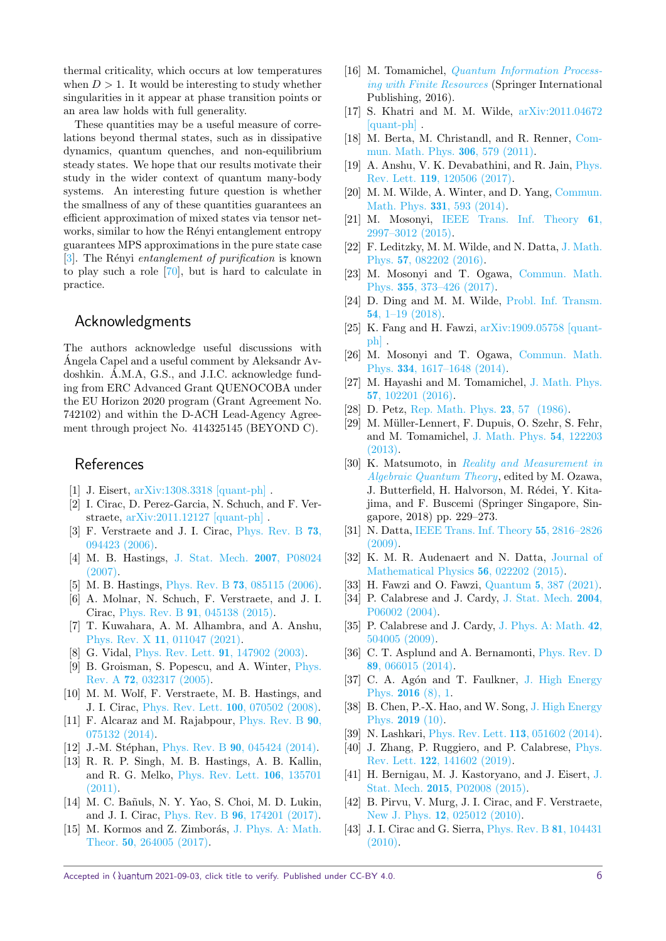thermal criticality, which occurs at low temperatures when  $D > 1$ . It would be interesting to study whether singularities in it appear at phase transition points or an area law holds with full generality.

These quantities may be a useful measure of correlations beyond thermal states, such as in dissipative dynamics, quantum quenches, and non-equilibrium steady states. We hope that our results motivate their study in the wider context of quantum many-body systems. An interesting future question is whether the smallness of any of these quantities guarantees an efficient approximation of mixed states via tensor networks, similar to how the Rényi entanglement entropy guarantees MPS approximations in the pure state case [\[3\]](#page-5-2). The Rényi entanglement of purification is known to play such a role [\[70\]](#page-6-21), but is hard to calculate in practice.

## Acknowledgments

The authors acknowledge useful discussions with Angela Capel and a useful comment by Aleksandr Av- ´ doshkin. Á.M.A, G.S., and J.I.C. acknowledge funding from ERC Advanced Grant QUENOCOBA under the EU Horizon 2020 program (Grant Agreement No. 742102) and within the D-ACH Lead-Agency Agreement through project No. 414325145 (BEYOND C).

### References

- <span id="page-5-0"></span>[1] J. Eisert, [arXiv:1308.3318 \[quant-ph\]](https://arxiv.org/abs/1308.3318) .
- <span id="page-5-1"></span>[2] I. Cirac, D. Perez-Garcia, N. Schuch, and F. Verstraete, [arXiv:2011.12127 \[quant-ph\]](https://arxiv.org/abs/2011.12127) .
- <span id="page-5-2"></span>[3] F. Verstraete and J. I. Cirac, [Phys. Rev. B](https://doi.org/10.1103/PhysRevB.73.094423) 73, [094423 \(2006\).](https://doi.org/10.1103/PhysRevB.73.094423)
- <span id="page-5-3"></span>[4] M. B. Hastings, [J. Stat. Mech.](https://doi.org/10.1088/1742-5468/2007/08/p08024) 2007, P08024 [\(2007\).](https://doi.org/10.1088/1742-5468/2007/08/p08024)
- <span id="page-5-4"></span>[5] M. B. Hastings, Phys. Rev. B 73[, 085115 \(2006\).](https://doi.org/10.1103/PhysRevB.73.085115)
- [6] A. Molnar, N. Schuch, F. Verstraete, and J. I. Cirac, Phys. Rev. B 91[, 045138 \(2015\).](https://doi.org/10.1103/PhysRevB.91.045138)
- <span id="page-5-5"></span>[7] T. Kuwahara, A. M. Alhambra, and A. Anshu, Phys. Rev. X 11[, 011047 \(2021\).](https://doi.org/10.1103/PhysRevX.11.011047)
- <span id="page-5-6"></span>[8] G. Vidal, [Phys. Rev. Lett.](https://doi.org/10.1103/PhysRevLett.91.147902) 91, 147902 (2003).
- <span id="page-5-7"></span>[9] B. Groisman, S. Popescu, and A. Winter, [Phys.](https://doi.org/10.1103/PhysRevA.72.032317) Rev. A 72[, 032317 \(2005\).](https://doi.org/10.1103/PhysRevA.72.032317)
- <span id="page-5-8"></span>[10] M. M. Wolf, F. Verstraete, M. B. Hastings, and J. I. Cirac, [Phys. Rev. Lett.](https://doi.org/10.1103/PhysRevLett.100.070502) 100, 070502 (2008).
- <span id="page-5-9"></span>[11] F. Alcaraz and M. Rajabpour, [Phys. Rev. B](https://doi.org/10.1103/physrevb.90.075132) 90, [075132 \(2014\).](https://doi.org/10.1103/physrevb.90.075132)
- <span id="page-5-10"></span>[12] J.-M. Stéphan, Phys. Rev. B 90[, 045424 \(2014\).](https://doi.org/10.1103/physrevb.90.045424)
- <span id="page-5-11"></span>[13] R. R. P. Singh, M. B. Hastings, A. B. Kallin, and R. G. Melko, [Phys. Rev. Lett.](https://doi.org/10.1103/PhysRevLett.106.135701) 106, 135701 [\(2011\).](https://doi.org/10.1103/PhysRevLett.106.135701)
- <span id="page-5-12"></span>[14] M. C. Bañuls, N. Y. Yao, S. Choi, M. D. Lukin, and J. I. Cirac, Phys. Rev. B 96[, 174201 \(2017\).](https://doi.org/10.1103/PhysRevB.96.174201)
- <span id="page-5-13"></span>[15] M. Kormos and Z. Zimborás, [J. Phys. A: Math.](https://doi.org/10.1088/1751-8121/aa70f6) Theor. 50[, 264005 \(2017\).](https://doi.org/10.1088/1751-8121/aa70f6)
- <span id="page-5-14"></span>[16] M. Tomamichel, [Quantum Information Process](https://doi.org/10.1007/978-3-319-21891-5)[ing with Finite Resources](https://doi.org/10.1007/978-3-319-21891-5) (Springer International Publishing, 2016).
- <span id="page-5-15"></span>[17] S. Khatri and M. M. Wilde, [arXiv:2011.04672](https://arxiv.org/abs/2011.04672) [\[quant-ph\]](https://arxiv.org/abs/2011.04672) .
- <span id="page-5-16"></span>[18] M. Berta, M. Christandl, and R. Renner, [Com](https://doi.org/10.1007/s00220-011-1309-7)[mun. Math. Phys.](https://doi.org/10.1007/s00220-011-1309-7) 306, 579 (2011).
- <span id="page-5-17"></span>[19] A. Anshu, V. K. Devabathini, and R. Jain, [Phys.](https://doi.org/10.1103/PhysRevLett.119.120506) Rev. Lett. 119[, 120506 \(2017\).](https://doi.org/10.1103/PhysRevLett.119.120506)
- <span id="page-5-18"></span>[20] M. M. Wilde, A. Winter, and D. Yang, [Commun.](https://doi.org/10.1007/s00220-014-2122-x) [Math. Phys.](https://doi.org/10.1007/s00220-014-2122-x) 331, 593 (2014).
- [21] M. Mosonyi, [IEEE Trans. Inf. Theory](https://doi.org/10.1109/tit.2015.2417877) 61, [2997–3012 \(2015\).](https://doi.org/10.1109/tit.2015.2417877)
- [22] F. Leditzky, M. M. Wilde, and N. Datta, [J. Math.](https://doi.org/10.1063/1.4960099) Phys. 57[, 082202 \(2016\).](https://doi.org/10.1063/1.4960099)
- [23] M. Mosonyi and T. Ogawa, [Commun. Math.](https://doi.org/10.1007/s00220-017-2928-4) Phys. 355[, 373–426 \(2017\).](https://doi.org/10.1007/s00220-017-2928-4)
- [24] D. Ding and M. M. Wilde, [Probl. Inf. Transm.](https://doi.org/10.1134/s0032946018010015) 54[, 1–19 \(2018\).](https://doi.org/10.1134/s0032946018010015)
- <span id="page-5-19"></span>[25] K. Fang and H. Fawzi, [arXiv:1909.05758 \[quant](https://arxiv.org/abs/1909.05758)[ph\]](https://arxiv.org/abs/1909.05758) .
- <span id="page-5-20"></span>[26] M. Mosonyi and T. Ogawa, [Commun. Math.](https://doi.org/10.1007/s00220-014-2248-x) Phys. 334[, 1617–1648 \(2014\).](https://doi.org/10.1007/s00220-014-2248-x)
- <span id="page-5-21"></span>[27] M. Hayashi and M. Tomamichel, [J. Math. Phys.](https://doi.org/10.1063/1.4964755) 57[, 102201 \(2016\).](https://doi.org/10.1063/1.4964755)
- <span id="page-5-22"></span>[28] D. Petz, [Rep. Math. Phys.](https://doi.org/https://doi.org/10.1016/0034-4877(86)90067-4) **23**, 57 (1986).
- <span id="page-5-34"></span>[29] M. Müller-Lennert, F. Dupuis, O. Szehr, S. Fehr. and M. Tomamichel, [J. Math. Phys.](https://doi.org/10.1063/1.4838856) 54, 122203 [\(2013\).](https://doi.org/10.1063/1.4838856)
- <span id="page-5-35"></span>[30] K. Matsumoto, in [Reality and Measurement in](https://doi.org/https://doi.org/10.1007/978-981-13-2487-1) [Algebraic Quantum Theory](https://doi.org/https://doi.org/10.1007/978-981-13-2487-1), edited by M. Ozawa, J. Butterfield, H. Halvorson, M. Rédei, Y. Kitajima, and F. Buscemi (Springer Singapore, Singapore, 2018) pp. 229–273.
- <span id="page-5-33"></span>[31] N. Datta, [IEEE Trans. Inf. Theory](https://doi.org/10.1109/tit.2009.2018325) 55, 2816–2826 [\(2009\).](https://doi.org/10.1109/tit.2009.2018325)
- [32] K. M. R. Audenaert and N. Datta, [Journal of](https://doi.org/10.1063/1.4906367) [Mathematical Physics](https://doi.org/10.1063/1.4906367) 56, 022202 (2015).
- <span id="page-5-23"></span>[33] H. Fawzi and O. Fawzi, Quantum 5[, 387 \(2021\).](https://doi.org/10.22331/q-2021-01-26-387)
- <span id="page-5-24"></span>[34] P. Calabrese and J. Cardy, [J. Stat. Mech.](https://doi.org/10.1088/1742-5468/2004/06/p06002) 2004, [P06002 \(2004\).](https://doi.org/10.1088/1742-5468/2004/06/p06002)
- <span id="page-5-25"></span>[35] P. Calabrese and J. Cardy, [J. Phys. A: Math.](https://doi.org/10.1088/1751-8113/42/50/504005) 42, [504005 \(2009\).](https://doi.org/10.1088/1751-8113/42/50/504005)
- <span id="page-5-26"></span>[36] C. T. Asplund and A. Bernamonti, [Phys. Rev. D](https://doi.org/10.1103/PhysRevD.89.066015) 89[, 066015 \(2014\).](https://doi.org/10.1103/PhysRevD.89.066015)
- [37] C. A. Agón and T. Faulkner, [J. High Energy](https://doi.org/10.1007/JHEP08(2016)118) Phys. 2016 [\(8\), 1.](https://doi.org/10.1007/JHEP08(2016)118)
- <span id="page-5-27"></span>[38] B. Chen, P.-X. Hao, and W. Song, [J. High Energy](https://doi.org/10.1007/jhep10(2019)037) [Phys.](https://doi.org/10.1007/jhep10(2019)037) 2019 (10).
- <span id="page-5-28"></span>[39] N. Lashkari, [Phys. Rev. Lett.](https://doi.org/10.1103/PhysRevLett.113.051602) 113, 051602 (2014).
- <span id="page-5-29"></span>[40] J. Zhang, P. Ruggiero, and P. Calabrese, [Phys.](https://doi.org/10.1103/PhysRevLett.122.141602) Rev. Lett. 122[, 141602 \(2019\).](https://doi.org/10.1103/PhysRevLett.122.141602)
- <span id="page-5-30"></span>[41] H. Bernigau, M. J. Kastoryano, and J. Eisert, [J.](https://doi.org/10.1088/1742-5468/2015/02/p02008) Stat. Mech. 2015[, P02008 \(2015\).](https://doi.org/10.1088/1742-5468/2015/02/p02008)
- <span id="page-5-31"></span>[42] B. Pirvu, V. Murg, J. I. Cirac, and F. Verstraete, New J. Phys. 12[, 025012 \(2010\).](https://doi.org/10.1088/1367-2630/12/2/025012)
- <span id="page-5-32"></span>[43] J. I. Cirac and G. Sierra, [Phys. Rev. B](https://doi.org/10.1103/PhysRevB.81.104431) 81, 104431 [\(2010\).](https://doi.org/10.1103/PhysRevB.81.104431)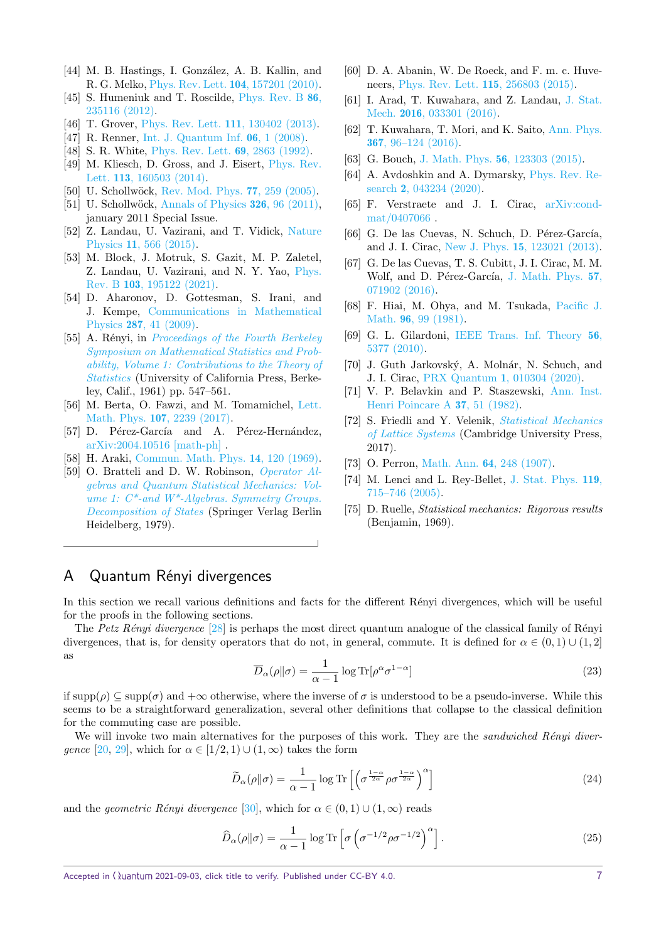- [44] M. B. Hastings, I. González, A. B. Kallin, and R. G. Melko, [Phys. Rev. Lett.](https://doi.org/10.1103/PhysRevLett.104.157201) 104, 157201 (2010).
- [45] S. Humeniuk and T. Roscilde, [Phys. Rev. B](https://doi.org/10.1103/PhysRevB.86.235116) 86, [235116 \(2012\).](https://doi.org/10.1103/PhysRevB.86.235116)
- <span id="page-6-1"></span>[46] T. Grover, [Phys. Rev. Lett.](https://doi.org/10.1103/PhysRevLett.111.130402) 111, 130402 (2013).
- <span id="page-6-2"></span>[47] R. Renner, [Int. J. Quantum Inf.](https://doi.org/10.1142/s0219749908003256) 06, 1 (2008).
- <span id="page-6-3"></span>[48] S. R. White, [Phys. Rev. Lett.](https://doi.org/10.1103/PhysRevLett.69.2863) 69, 2863 (1992).
- <span id="page-6-4"></span>[49] M. Kliesch, D. Gross, and J. Eisert, [Phys. Rev.](https://doi.org/10.1103/PhysRevLett.113.160503) Lett. 113[, 160503 \(2014\).](https://doi.org/10.1103/PhysRevLett.113.160503)
- <span id="page-6-5"></span>[50] U. Schollwöck, [Rev. Mod. Phys.](https://doi.org/10.1103/RevModPhys.77.259) 77, 259 (2005).
- [51] U. Schollwöck, [Annals of Physics](https://doi.org/https://doi.org/10.1016/j.aop.2010.09.012) **326**, 96 (2011), january 2011 Special Issue.
- [52] Z. Landau, U. Vazirani, and T. Vidick, [Nature](https://doi.org/10.1038/nphys3345) Physics 11[, 566 \(2015\).](https://doi.org/10.1038/nphys3345)
- <span id="page-6-6"></span>[53] M. Block, J. Motruk, S. Gazit, M. P. Zaletel, Z. Landau, U. Vazirani, and N. Y. Yao, [Phys.](https://doi.org/10.1103/PhysRevB.103.195122) Rev. B 103[, 195122 \(2021\).](https://doi.org/10.1103/PhysRevB.103.195122)
- <span id="page-6-7"></span>[54] D. Aharonov, D. Gottesman, S. Irani, and J. Kempe, [Communications in Mathematical](https://doi.org/10.1007/s00220-008-0710-3) Physics 287[, 41 \(2009\).](https://doi.org/10.1007/s00220-008-0710-3)
- <span id="page-6-8"></span>[55] A. Rényi, in *[Proceedings of the Fourth Berkeley](https://projecteuclid.org/euclid.bsmsp/1200512181)* [Symposium on Mathematical Statistics and Prob](https://projecteuclid.org/euclid.bsmsp/1200512181)[ability, Volume 1: Contributions to the Theory of](https://projecteuclid.org/euclid.bsmsp/1200512181) [Statistics](https://projecteuclid.org/euclid.bsmsp/1200512181) (University of California Press, Berkeley, Calif., 1961) pp. 547–561.
- <span id="page-6-9"></span>[56] M. Berta, O. Fawzi, and M. Tomamichel, [Lett.](https://doi.org/10.1007/s11005-017-0990-7) Math. Phys. 107[, 2239 \(2017\).](https://doi.org/10.1007/s11005-017-0990-7)
- <span id="page-6-10"></span>[57] D. Pérez-García and A. Pérez-Hernández, [arXiv:2004.10516 \[math-ph\]](https://arxiv.org/abs/2004.10516) .
- <span id="page-6-11"></span>[58] H. Araki, [Commun. Math. Phys.](https://doi.org/10.1007/BF01645134) 14, 120 (1969).
- <span id="page-6-12"></span>[59] O. Bratteli and D. W. Robinson, [Operator Al](https://doi.org/10.1007/978-3-662-02313-6)[gebras and Quantum Statistical Mechanics: Vol](https://doi.org/10.1007/978-3-662-02313-6)ume 1:  $C^*$ -and  $W^*$ -Algebras. Symmetry Groups. [Decomposition of States](https://doi.org/10.1007/978-3-662-02313-6) (Springer Verlag Berlin Heidelberg, 1979).
- [60] D. A. Abanin, W. De Roeck, and F. m. c. Huveneers, [Phys. Rev. Lett.](https://doi.org/10.1103/PhysRevLett.115.256803) 115, 256803 (2015).
- [61] I. Arad, T. Kuwahara, and Z. Landau, [J. Stat.](https://doi.org/10.1088/1742-5468/2016/03/033301) Mech. 2016[, 033301 \(2016\).](https://doi.org/10.1088/1742-5468/2016/03/033301)
- <span id="page-6-13"></span>[62] T. Kuwahara, T. Mori, and K. Saito, [Ann. Phys.](https://doi.org/10.1016/j.aop.2016.01.012) 367[, 96–124 \(2016\).](https://doi.org/10.1016/j.aop.2016.01.012)
- <span id="page-6-14"></span>[63] G. Bouch, J. Math. Phys. 56[, 123303 \(2015\).](https://doi.org/10.1063/1.4936209)
- <span id="page-6-15"></span>[64] A. Avdoshkin and A. Dymarsky, [Phys. Rev. Re](https://doi.org/10.1103/PhysRevResearch.2.043234)search 2[, 043234 \(2020\).](https://doi.org/10.1103/PhysRevResearch.2.043234)
- <span id="page-6-16"></span>[65] F. Verstraete and J. I. Cirac, [arXiv:cond](https://arxiv.org/abs/arXiv:cond-mat/0407066)[mat/0407066](https://arxiv.org/abs/arXiv:cond-mat/0407066) .
- <span id="page-6-17"></span>[66] G. De las Cuevas, N. Schuch, D. Pérez-García, and J. I. Cirac, New J. Phys. 15[, 123021 \(2013\).](https://doi.org/10.1088/1367-2630/15/12/123021)
- <span id="page-6-18"></span>[67] G. De las Cuevas, T. S. Cubitt, J. I. Cirac, M. M. Wolf, and D. Pérez-García, [J. Math. Phys.](https://doi.org/10.1063/1.4954983) 57, [071902 \(2016\).](https://doi.org/10.1063/1.4954983)
- <span id="page-6-19"></span>[68] F. Hiai, M. Ohya, and M. Tsukada, [Pacific J.](http://dx.doi.org/10.2140/pjm.1981.96.99) Math. **96**[, 99 \(1981\).](http://dx.doi.org/10.2140/pjm.1981.96.99)
- <span id="page-6-20"></span>[69] G. L. Gilardoni, [IEEE Trans. Inf. Theory](https://doi.org/10.1109/TIT.2010.2068710) 56, [5377 \(2010\).](https://doi.org/10.1109/TIT.2010.2068710)
- <span id="page-6-21"></span>[70] J. Guth Jarkovský, A. Molnár, N. Schuch, and J. I. Cirac, PRX Quantum 1[, 010304 \(2020\).](https://doi.org/10.1103/PRXQuantum.1.010304)
- <span id="page-6-22"></span>[71] V. P. Belavkin and P. Staszewski, [Ann. Inst.](http://www.numdam.org/item/AIHPA_1982__37_1_51_0) [Henri Poincare A](http://www.numdam.org/item/AIHPA_1982__37_1_51_0) 37, 51 (1982).
- <span id="page-6-23"></span>[72] S. Friedli and Y. Velenik, [Statistical Mechanics](https://doi.org/10.1017/9781316882603) [of Lattice Systems](https://doi.org/10.1017/9781316882603) (Cambridge University Press, 2017).
- <span id="page-6-24"></span>[73] O. Perron, Math. Ann. **64**[, 248 \(1907\).](https://doi.org/10.1007/bf01449896)
- <span id="page-6-25"></span>[74] M. Lenci and L. Rey-Bellet, [J. Stat. Phys.](https://doi.org/10.1007/s10955-005-3015-3) 119, [715–746 \(2005\).](https://doi.org/10.1007/s10955-005-3015-3)
- <span id="page-6-26"></span>[75] D. Ruelle, Statistical mechanics: Rigorous results (Benjamin, 1969).

## <span id="page-6-0"></span>A Quantum Rényi divergences

In this section we recall various definitions and facts for the different Rényi divergences, which will be useful for the proofs in the following sections.

The Petz Rényi divergence  $[28]$  is perhaps the most direct quantum analogue of the classical family of Rényi divergences, that is, for density operators that do not, in general, commute. It is defined for  $\alpha \in (0,1) \cup (1,2]$ as

$$
\overline{D}_{\alpha}(\rho \| \sigma) = \frac{1}{\alpha - 1} \log \text{Tr}[\rho^{\alpha} \sigma^{1 - \alpha}]
$$
\n(23)

if  $\text{supp}(\rho) \subseteq \text{supp}(\sigma)$  and  $+\infty$  otherwise, where the inverse of  $\sigma$  is understood to be a pseudo-inverse. While this seems to be a straightforward generalization, several other definitions that collapse to the classical definition for the commuting case are possible.

We will invoke two main alternatives for the purposes of this work. They are the sandwiched Rényi diver*gence* [\[20,](#page-5-18) [29\]](#page-5-34), which for  $\alpha \in [1/2, 1] \cup (1, \infty)$  takes the form

$$
\widetilde{D}_{\alpha}(\rho \| \sigma) = \frac{1}{\alpha - 1} \log \text{Tr} \left[ \left( \sigma^{\frac{1 - \alpha}{2\alpha}} \rho \sigma^{\frac{1 - \alpha}{2\alpha}} \right)^{\alpha} \right]
$$
\n(24)

and the *geometric Rényi divergence* [\[30\]](#page-5-35), which for  $\alpha \in (0,1) \cup (1,\infty)$  reads

$$
\widehat{D}_{\alpha}(\rho||\sigma) = \frac{1}{\alpha - 1} \log \text{Tr} \left[ \sigma \left( \sigma^{-1/2} \rho \sigma^{-1/2} \right)^{\alpha} \right]. \tag{25}
$$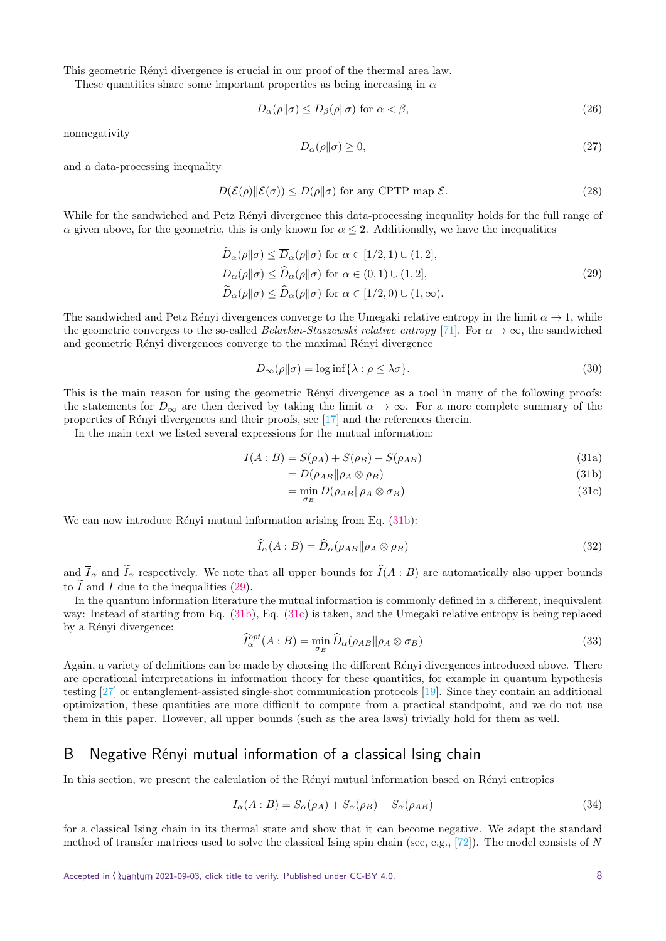This geometric Rényi divergence is crucial in our proof of the thermal area law.

These quantities share some important properties as being increasing in *α*

$$
D_{\alpha}(\rho \| \sigma) \le D_{\beta}(\rho \| \sigma) \text{ for } \alpha < \beta,
$$
\n(26)

nonnegativity

$$
D_{\alpha}(\rho \| \sigma) \ge 0,\tag{27}
$$

and a data-processing inequality

$$
D(\mathcal{E}(\rho) \| \mathcal{E}(\sigma)) \le D(\rho \| \sigma) \text{ for any CPTP map } \mathcal{E}.
$$
 (28)

While for the sandwiched and Petz Renyi divergence this data-processing inequality holds for the full range of *α* given above, for the geometric, this is only known for  $\alpha \leq 2$ . Additionally, we have the inequalities

<span id="page-7-2"></span>
$$
D_{\alpha}(\rho||\sigma) \le \overline{D}_{\alpha}(\rho||\sigma) \text{ for } \alpha \in [1/2, 1) \cup (1, 2],
$$
  
\n
$$
\overline{D}_{\alpha}(\rho||\sigma) \le \widehat{D}_{\alpha}(\rho||\sigma) \text{ for } \alpha \in (0, 1) \cup (1, 2],
$$
  
\n
$$
\widetilde{D}_{\alpha}(\rho||\sigma) \le \widehat{D}_{\alpha}(\rho||\sigma) \text{ for } \alpha \in [1/2, 0) \cup (1, \infty).
$$
\n(29)

The sandwiched and Petz Rényi divergences converge to the Umegaki relative entropy in the limit  $\alpha \to 1$ , while the geometric converges to the so-called *Belavkin-Staszewski relative entropy* [\[71\]](#page-6-22). For  $\alpha \to \infty$ , the sandwiched and geometric Rényi divergences converge to the maximal Rényi divergence

$$
D_{\infty}(\rho \| \sigma) = \log \inf \{ \lambda : \rho \le \lambda \sigma \}. \tag{30}
$$

This is the main reason for using the geometric Rényi divergence as a tool in many of the following proofs: the statements for  $D_{\infty}$  are then derived by taking the limit  $\alpha \to \infty$ . For a more complete summary of the properties of Rényi divergences and their proofs, see  $[17]$  and the references therein.

In the main text we listed several expressions for the mutual information:

$$
I(A:B) = S(\rho_A) + S(\rho_B) - S(\rho_{AB})
$$
\n(31a)

<span id="page-7-3"></span><span id="page-7-1"></span>
$$
=D(\rho_{AB}||\rho_A\otimes\rho_B) \tag{31b}
$$

$$
= \min_{\sigma_B} D(\rho_{AB} \| \rho_A \otimes \sigma_B)
$$
\n(31c)

We can now introduce Rényi mutual information arising from Eq.  $(31b)$ :

$$
\widehat{I}_{\alpha}(A:B) = \widehat{D}_{\alpha}(\rho_{AB}||\rho_A \otimes \rho_B)
$$
\n(32)

and  $\overline{I}_{\alpha}$  and  $\overline{I}_{\alpha}$  respectively. We note that all upper bounds for  $\widehat{I}(A : B)$  are automatically also upper bounds to  $\tilde{I}$  and  $\overline{I}$  due to the inequalities [\(29\)](#page-7-2).

In the quantum information literature the mutual information is commonly defined in a different, inequivalent way: Instead of starting from Eq. [\(31b\)](#page-7-1), Eq. [\(31c\)](#page-7-3) is taken, and the Umegaki relative entropy is being replaced by a Rényi divergence:

<span id="page-7-4"></span>
$$
\widehat{I}_{\alpha}^{opt}(A:B) = \min_{\sigma_B} \widehat{D}_{\alpha}(\rho_{AB} || \rho_A \otimes \sigma_B)
$$
\n(33)

Again, a variety of definitions can be made by choosing the different Rényi divergences introduced above. There are operational interpretations in information theory for these quantities, for example in quantum hypothesis testing [\[27\]](#page-5-21) or entanglement-assisted single-shot communication protocols [\[19\]](#page-5-17). Since they contain an additional optimization, these quantities are more difficult to compute from a practical standpoint, and we do not use them in this paper. However, all upper bounds (such as the area laws) trivially hold for them as well.

## <span id="page-7-0"></span>B Negative Rényi mutual information of a classical Ising chain

In this section, we present the calculation of the Rényi mutual information based on Rényi entropies

$$
I_{\alpha}(A:B) = S_{\alpha}(\rho_A) + S_{\alpha}(\rho_B) - S_{\alpha}(\rho_{AB})
$$
\n(34)

for a classical Ising chain in its thermal state and show that it can become negative. We adapt the standard method of transfer matrices used to solve the classical Ising spin chain (see, e.g., [\[72\]](#page-6-23)). The model consists of *N*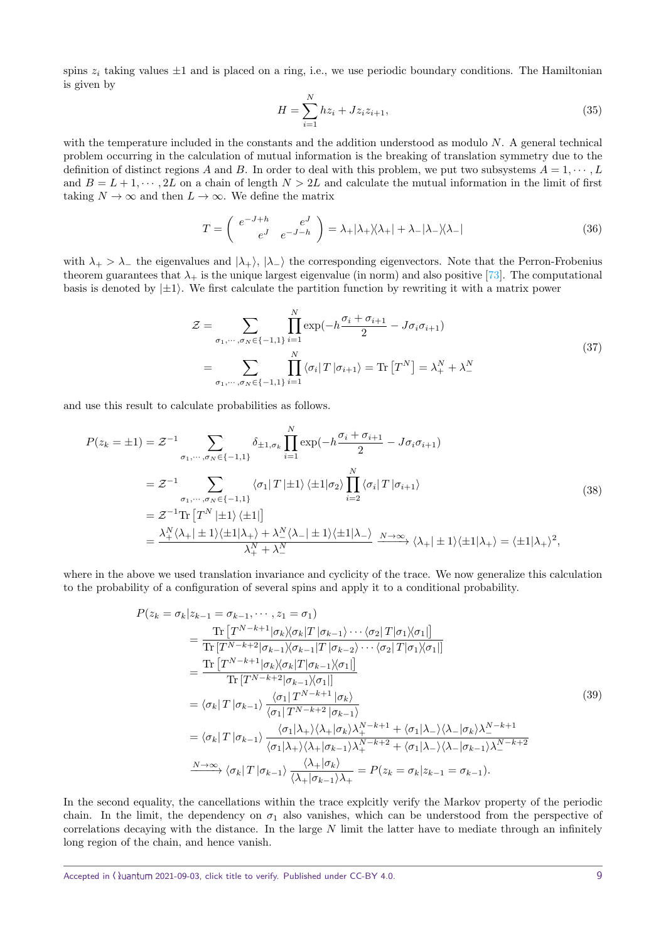spins  $z_i$  taking values  $\pm 1$  and is placed on a ring, i.e., we use periodic boundary conditions. The Hamiltonian is given by

$$
H = \sum_{i=1}^{N} h z_i + J z_i z_{i+1},
$$
\n(35)

with the temperature included in the constants and the addition understood as modulo *N*. A general technical problem occurring in the calculation of mutual information is the breaking of translation symmetry due to the definition of distinct regions *A* and *B*. In order to deal with this problem, we put two subsystems  $A = 1, \dots, L$ and  $B = L + 1, \dots, 2L$  on a chain of length  $N > 2L$  and calculate the mutual information in the limit of first taking  $N \to \infty$  and then  $L \to \infty$ . We define the matrix

<span id="page-8-1"></span>
$$
T = \begin{pmatrix} e^{-J+h} & e^{J} \\ e^{J} & e^{-J-h} \end{pmatrix} = \lambda_{+} |\lambda_{+} \rangle \langle \lambda_{+} | + \lambda_{-} |\lambda_{-} \rangle \langle \lambda_{-} |
$$
 (36)

with  $\lambda_+ > \lambda_-$  the eigenvalues and  $|\lambda_+ \rangle$ ,  $|\lambda_- \rangle$  the corresponding eigenvectors. Note that the Perron-Frobenius theorem guarantees that  $\lambda_+$  is the unique largest eigenvalue (in norm) and also positive [\[73\]](#page-6-24). The computational basis is denoted by  $|\pm 1\rangle$ . We first calculate the partition function by rewriting it with a matrix power

$$
\mathcal{Z} = \sum_{\sigma_1, \dots, \sigma_N \in \{-1, 1\}} \prod_{i=1}^N \exp\left(-h \frac{\sigma_i + \sigma_{i+1}}{2} - J \sigma_i \sigma_{i+1}\right)
$$
  
= 
$$
\sum_{\sigma_1, \dots, \sigma_N \in \{-1, 1\}} \prod_{i=1}^N \langle \sigma_i | T | \sigma_{i+1} \rangle = \text{Tr} \left[T^N\right] = \lambda_+^N + \lambda_-^N
$$
 (37)

and use this result to calculate probabilities as follows.

$$
P(z_k = \pm 1) = \mathcal{Z}^{-1} \sum_{\sigma_1, \cdots, \sigma_N \in \{-1, 1\}} \delta_{\pm 1, \sigma_k} \prod_{i=1}^N \exp(-h \frac{\sigma_i + \sigma_{i+1}}{2} - J \sigma_i \sigma_{i+1})
$$
  
\n
$$
= \mathcal{Z}^{-1} \sum_{\sigma_1, \cdots, \sigma_N \in \{-1, 1\}} \langle \sigma_1 | T | \pm 1 \rangle \langle \pm 1 | \sigma_2 \rangle \prod_{i=2}^N \langle \sigma_i | T | \sigma_{i+1} \rangle
$$
  
\n
$$
= \mathcal{Z}^{-1} \text{Tr} \left[ T^N | \pm 1 \rangle \langle \pm 1 | \right]
$$
  
\n
$$
= \frac{\lambda_+^N \langle \lambda_+ | \pm 1 \rangle \langle \pm 1 | \lambda_+ \rangle + \lambda_-^N \langle \lambda_- | \pm 1 \rangle \langle \pm 1 | \lambda_- \rangle}{\lambda_+^N + \lambda_-^N} \xrightarrow{N \to \infty} \langle \lambda_+ | \pm 1 \rangle \langle \pm 1 | \lambda_+ \rangle = \langle \pm 1 | \lambda_+ \rangle^2,
$$
\n(38)

where in the above we used translation invariance and cyclicity of the trace. We now generalize this calculation to the probability of a configuration of several spins and apply it to a conditional probability.

<span id="page-8-0"></span>
$$
P(z_k = \sigma_k | z_{k-1} = \sigma_{k-1}, \dots, z_1 = \sigma_1)
$$
  
\n
$$
= \frac{\text{Tr}\left[T^{N-k+1}|\sigma_k \rangle \langle \sigma_k | T | \sigma_{k-1} \rangle \cdots \langle \sigma_2 | T | \sigma_1 \rangle \langle \sigma_1 | \right]}{\text{Tr}\left[T^{N-k+2}|\sigma_{k-1} \rangle \langle \sigma_{k-1} | T | \sigma_{k-2} \rangle \cdots \langle \sigma_2 | T | \sigma_1 \rangle \langle \sigma_1 | \right]}
$$
  
\n
$$
= \frac{\text{Tr}\left[T^{N-k+1}|\sigma_k \rangle \langle \sigma_k | T | \sigma_{k-1} \rangle \langle \sigma_1 | \right]}{\text{Tr}\left[T^{N-k+2}|\sigma_{k-1} \rangle \langle \sigma_1 | \right]}
$$
  
\n
$$
= \langle \sigma_k | T | \sigma_{k-1} \rangle \frac{\langle \sigma_1 | T^{N-k+1} | \sigma_k \rangle}{\langle \sigma_1 | T^{N-k+2} | \sigma_{k-1} \rangle}
$$
  
\n
$$
= \langle \sigma_k | T | \sigma_{k-1} \rangle \frac{\langle \sigma_1 | \lambda_+ \rangle \langle \lambda_+ | \sigma_k \rangle \lambda_+^{N-k+1} + \langle \sigma_1 | \lambda_- \rangle \langle \lambda_- | \sigma_k \rangle \lambda_-^{N-k+1}}{\langle \sigma_1 | \lambda_+ \rangle \langle \lambda_+ | \sigma_{k-1} \rangle \lambda_+^{N-k+2} + \langle \sigma_1 | \lambda_- \rangle \langle \lambda_- | \sigma_{k-1} \rangle \lambda_-^{N-k+2}}
$$
  
\n
$$
\xrightarrow{N \to \infty} \langle \sigma_k | T | \sigma_{k-1} \rangle \frac{\langle \lambda_+ | \sigma_k \rangle}{\langle \lambda_+ | \sigma_{k-1} \rangle \lambda_+^{N-k+2}} = P(z_k = \sigma_k | z_{k-1} = \sigma_{k-1}).
$$
\n(39)

In the second equality, the cancellations within the trace explcitly verify the Markov property of the periodic chain. In the limit, the dependency on  $\sigma_1$  also vanishes, which can be understood from the perspective of correlations decaying with the distance. In the large *N* limit the latter have to mediate through an infinitely long region of the chain, and hence vanish.

Accepted in ( $\lambda$ uantum 2021-09-03, click title to verify. Published under CC-BY 4.0. 9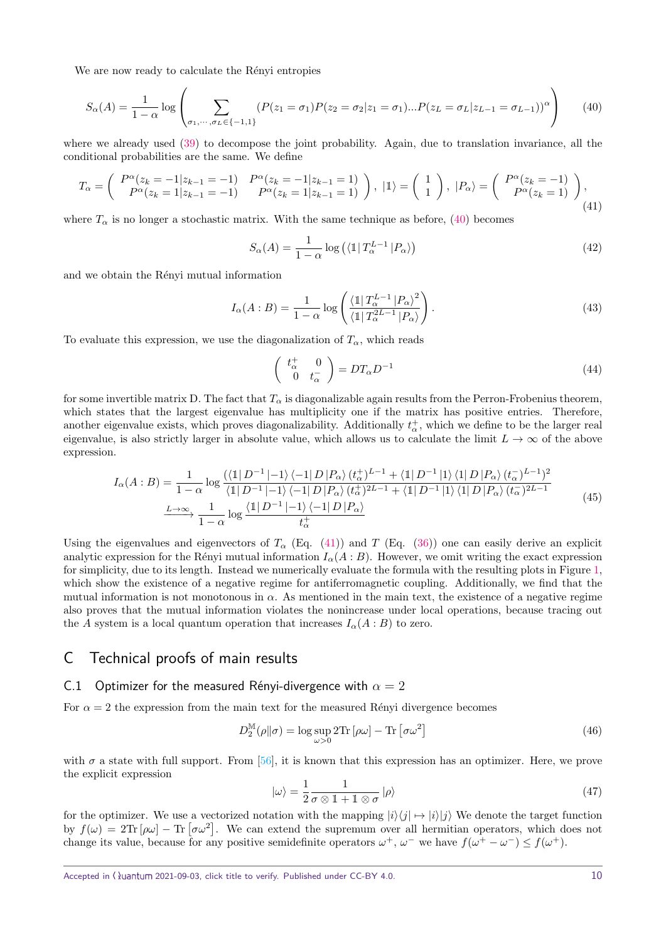We are now ready to calculate the Rényi entropies

<span id="page-9-1"></span>
$$
S_{\alpha}(A) = \frac{1}{1 - \alpha} \log \left( \sum_{\sigma_1, \cdots, \sigma_L \in \{-1, 1\}} (P(z_1 = \sigma_1) P(z_2 = \sigma_2 | z_1 = \sigma_1) \dots P(z_L = \sigma_L | z_{L-1} = \sigma_{L-1}))^{\alpha} \right)
$$
(40)

where we already used [\(39\)](#page-8-0) to decompose the joint probability. Again, due to translation invariance, all the conditional probabilities are the same. We define

<span id="page-9-2"></span>
$$
T_{\alpha} = \begin{pmatrix} P^{\alpha}(z_k = -1|z_{k-1} = -1) & P^{\alpha}(z_k = -1|z_{k-1} = 1) \\ P^{\alpha}(z_k = 1|z_{k-1} = -1) & P^{\alpha}(z_k = 1|z_{k-1} = 1) \end{pmatrix}, \ |\mathbb{1}\rangle = \begin{pmatrix} 1 \\ 1 \end{pmatrix}, \ |P_{\alpha}\rangle = \begin{pmatrix} P^{\alpha}(z_k = -1) \\ P^{\alpha}(z_k = 1) \end{pmatrix},
$$
\n(41)

where  $T_\alpha$  is no longer a stochastic matrix. With the same technique as before, [\(40\)](#page-9-1) becomes

$$
S_{\alpha}(A) = \frac{1}{1 - \alpha} \log \left( \left\langle \mathbb{1} \middle| T_{\alpha}^{L-1} \middle| P_{\alpha} \right\rangle \right) \tag{42}
$$

and we obtain the Rényi mutual information

$$
I_{\alpha}(A:B) = \frac{1}{1-\alpha} \log \left( \frac{\langle 1 | T_{\alpha}^{L-1} | P_{\alpha} \rangle^2}{\langle 1 | T_{\alpha}^{2L-1} | P_{\alpha} \rangle} \right).
$$
(43)

To evaluate this expression, we use the diagonalization of  $T_\alpha$ , which reads

$$
\begin{pmatrix} t_{\alpha}^{+} & 0\\ 0 & t_{\alpha}^{-} \end{pmatrix} = DT_{\alpha}D^{-1}
$$
\n(44)

for some invertible matrix D. The fact that  $T_\alpha$  is diagonalizable again results from the Perron-Frobenius theorem, which states that the largest eigenvalue has multiplicity one if the matrix has positive entries. Therefore, another eigenvalue exists, which proves diagonalizability. Additionally  $t^{\pm}_{\alpha}$ , which we define to be the larger real eigenvalue, is also strictly larger in absolute value, which allows us to calculate the limit  $L \to \infty$  of the above expression.

<span id="page-9-3"></span>
$$
I_{\alpha}(A:B) = \frac{1}{1-\alpha} \log \frac{\langle \langle \mathbb{1} | D^{-1} | -1 \rangle \langle -1 | D | P_{\alpha} \rangle (t_{\alpha}^{+})^{L-1} + \langle \mathbb{1} | D^{-1} | 1 \rangle \langle 1 | D | P_{\alpha} \rangle (t_{\alpha}^{-})^{L-1} \rangle^{2}}{\langle \mathbb{1} | D^{-1} | -1 \rangle \langle -1 | D | P_{\alpha} \rangle (t_{\alpha}^{+})^{2L-1} + \langle \mathbb{1} | D^{-1} | 1 \rangle \langle 1 | D | P_{\alpha} \rangle (t_{\alpha}^{-})^{2L-1}}
$$
\n
$$
\xrightarrow{L \to \infty} \frac{1}{1-\alpha} \log \frac{\langle \mathbb{1} | D^{-1} | -1 \rangle \langle -1 | D | P_{\alpha} \rangle}{t_{\alpha}^{+}}
$$
\n
$$
(45)
$$

Using the eigenvalues and eigenvectors of  $T_\alpha$  (Eq. [\(41\)](#page-9-2)) and *T* (Eq. [\(36\)](#page-8-1)) one can easily derive an explicit analytic expression for the Rényi mutual information  $I_{\alpha}(A:B)$ . However, we omit writing the exact expression for simplicity, due to its length. Instead we numerically evaluate the formula with the resulting plots in Figure [1,](#page-10-1) which show the existence of a negative regime for antiferromagnetic coupling. Additionally, we find that the mutual information is not monotonous in  $\alpha$ . As mentioned in the main text, the existence of a negative regime also proves that the mutual information violates the nonincrease under local operations, because tracing out the *A* system is a local quantum operation that increases  $I_{\alpha}(A:B)$  to zero.

## C Technical proofs of main results

#### <span id="page-9-0"></span>C.1 Optimizer for the measured Rényi-divergence with  $\alpha = 2$

For  $\alpha = 2$  the expression from the main text for the measured Rényi divergence becomes

$$
D_2^{\mathbb{M}}(\rho \| \sigma) = \log \sup_{\omega > 0} 2 \text{Tr} \left[ \rho \omega \right] - \text{Tr} \left[ \sigma \omega^2 \right] \tag{46}
$$

with  $\sigma$  a state with full support. From [\[56\]](#page-6-9), it is known that this expression has an optimizer. Here, we prove the explicit expression

$$
|\omega\rangle = \frac{1}{2} \frac{1}{\sigma \otimes 1 + 1 \otimes \sigma} |\rho\rangle \tag{47}
$$

for the optimizer. We use a vectorized notation with the mapping  $|i\rangle\langle j| \mapsto |i\rangle\langle j|$  We denote the target function by  $f(\omega) = 2\text{Tr}[\rho\omega] - \text{Tr}[\sigma\omega^2]$ . We can extend the supremum over all hermitian operators, which does not change its value, because for any positive semidefinite operators  $\omega^+$ ,  $\omega^-$  we have  $f(\omega^+ - \omega^-) \le f(\omega^+)$ .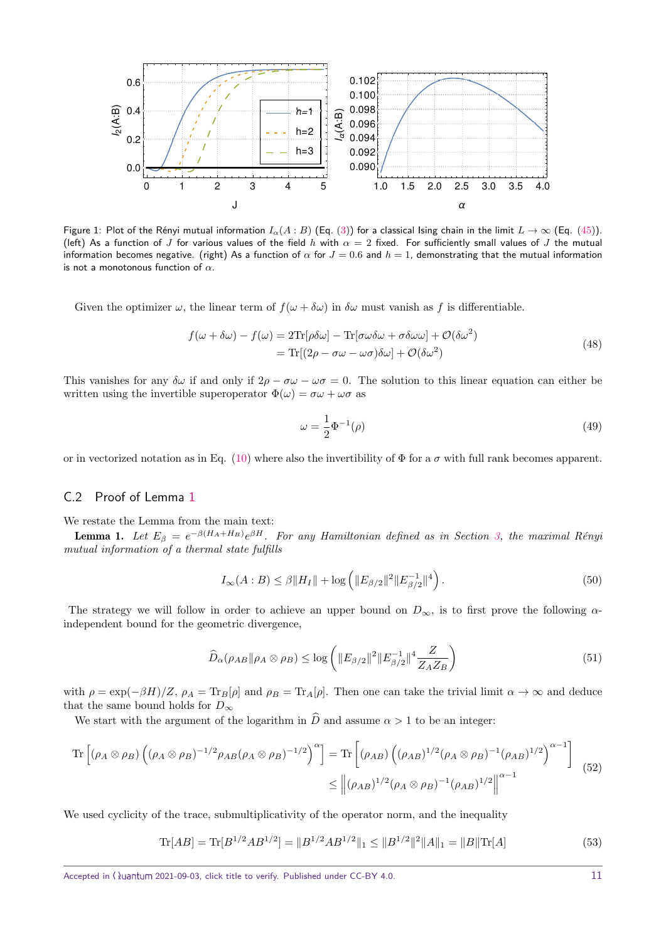<span id="page-10-1"></span>

Figure 1: Plot of the Rényi mutual information  $I_\alpha(A:B)$  (Eq. [\(3\)](#page-1-4)) for a classical Ising chain in the limit  $L\to\infty$  (Eq. [\(45\)](#page-9-3)). (left) As a function of *J* for various values of the field *h* with *α* = 2 fixed. For sufficiently small values of *J* the mutual information becomes negative. (right) As a function of  $\alpha$  for  $J=0.6$  and  $h=1$ , demonstrating that the mutual information is not a monotonous function of *α*.

Given the optimizer  $\omega$ , the linear term of  $f(\omega + \delta \omega)$  in  $\delta \omega$  must vanish as f is differentiable.

$$
f(\omega + \delta \omega) - f(\omega) = 2\text{Tr}[\rho \delta \omega] - \text{Tr}[\sigma \omega \delta \omega + \sigma \delta \omega \omega] + \mathcal{O}(\delta \omega^2)
$$
  
= 
$$
\text{Tr}[(2\rho - \sigma \omega - \omega \sigma) \delta \omega] + \mathcal{O}(\delta \omega^2)
$$
 (48)

This vanishes for any  $\delta\omega$  if and only if  $2\rho - \sigma\omega - \omega\sigma = 0$ . The solution to this linear equation can either be written using the invertible superoperator  $\Phi(\omega) = \sigma \omega + \omega \sigma$  as

$$
\omega = \frac{1}{2}\Phi^{-1}(\rho) \tag{49}
$$

or in vectorized notation as in Eq. [\(10\)](#page-2-3) where also the invertibility of  $\Phi$  for a  $\sigma$  with full rank becomes apparent.

#### <span id="page-10-0"></span>C.2 Proof of Lemma [1](#page-3-0)

We restate the Lemma from the main text:

**Lemma 1.** Let  $E_\beta = e^{-\beta(H_A+H_B)}e^{\beta H}$ . For any Hamiltonian defined as in Section [3,](#page-2-0) the maximal Rényi mutual information of a thermal state fulfills

$$
I_{\infty}(A:B) \le \beta \|H_I\| + \log \left( \|E_{\beta/2}\|^2 \|E_{\beta/2}^{-1}\|^4 \right). \tag{50}
$$

The strategy we will follow in order to achieve an upper bound on  $D_{\infty}$ , is to first prove the following  $\alpha$ independent bound for the geometric divergence,

<span id="page-10-3"></span>
$$
\widehat{D}_{\alpha}(\rho_{AB}||\rho_A \otimes \rho_B) \le \log \left( ||E_{\beta/2}||^2 ||E_{\beta/2}^{-1}||^4 \frac{Z}{Z_A Z_B} \right) \tag{51}
$$

with  $\rho = \exp(-\beta H)/Z$ ,  $\rho_A = \text{Tr}_B[\rho]$  and  $\rho_B = \text{Tr}_A[\rho]$ . Then one can take the trivial limit  $\alpha \to \infty$  and deduce that the same bound holds for  $D_{\infty}$ 

We start with the argument of the logarithm in  $\hat{D}$  and assume  $\alpha > 1$  to be an integer:

<span id="page-10-2"></span>
$$
\operatorname{Tr}\left[\left(\rho_A \otimes \rho_B\right) \left(\left(\rho_A \otimes \rho_B\right)^{-1/2} \rho_{AB} (\rho_A \otimes \rho_B)^{-1/2}\right)^\alpha\right] = \operatorname{Tr}\left[\left(\rho_{AB}\right) \left(\left(\rho_{AB}\right)^{1/2} (\rho_A \otimes \rho_B)^{-1} (\rho_{AB})^{1/2}\right)^{\alpha-1}\right] \tag{52}
$$
\n
$$
\leq \left\| (\rho_{AB})^{1/2} (\rho_A \otimes \rho_B)^{-1} (\rho_{AB})^{1/2} \right\|^{\alpha-1}
$$

We used cyclicity of the trace, submultiplicativity of the operator norm, and the inequality

$$
\text{Tr}[AB] = \text{Tr}[B^{1/2}AB^{1/2}] = ||B^{1/2}AB^{1/2}||_1 \le ||B^{1/2}||^2||A||_1 = ||B||\text{Tr}[A]
$$
\n(53)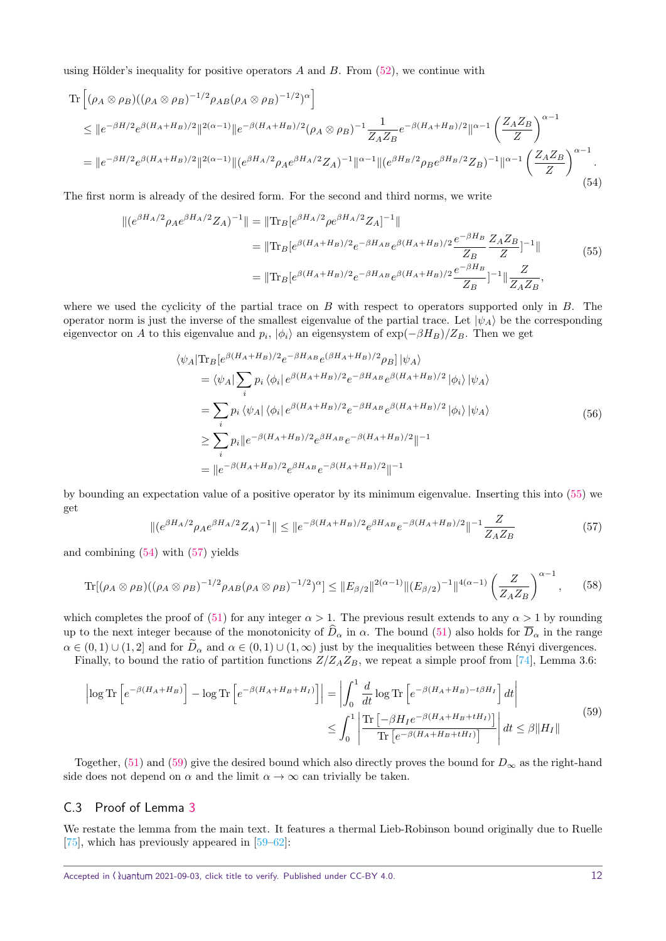using Hölder's inequality for positive operators  $A$  and  $B$ . From  $(52)$ , we continue with

<span id="page-11-2"></span>
$$
\begin{split} \operatorname{Tr}\left[ (\rho_{A}\otimes\rho_{B})((\rho_{A}\otimes\rho_{B})^{-1/2}\rho_{AB}(\rho_{A}\otimes\rho_{B})^{-1/2})^{\alpha}\right] \\ &\leq \|e^{-\beta H/2}e^{\beta(H_{A}+H_{B})/2}\|^{2(\alpha-1)}\|e^{-\beta(H_{A}+H_{B})/2}(\rho_{A}\otimes\rho_{B})^{-1}\frac{1}{Z_{A}Z_{B}}e^{-\beta(H_{A}+H_{B})/2}\|^{\alpha-1}\left(\frac{Z_{A}Z_{B}}{Z}\right)^{\alpha-1} \\ &= \|e^{-\beta H/2}e^{\beta(H_{A}+H_{B})/2}\|^{2(\alpha-1)}\|(e^{\beta H_{A}/2}\rho_{A}e^{\beta H_{A}/2}Z_{A})^{-1}\|^{\alpha-1}\|(e^{\beta H_{B}/2}\rho_{B}e^{\beta H_{B}/2}Z_{B})^{-1}\|^{\alpha-1}\left(\frac{Z_{A}Z_{B}}{Z}\right)^{\alpha-1}. \end{split} \tag{54}
$$

The first norm is already of the desired form. For the second and third norms, we write

<span id="page-11-1"></span>
$$
\| (e^{\beta H_A/2} \rho_A e^{\beta H_A/2} Z_A)^{-1} \| = \| \text{Tr}_B [e^{\beta H_A/2} \rho e^{\beta H_A/2} Z_A]^{-1} \|
$$
  
\n
$$
= \| \text{Tr}_B [e^{\beta (H_A + H_B)/2} e^{-\beta H_{AB}} e^{\beta (H_A + H_B)/2} \frac{e^{-\beta H_B}}{Z_B} \frac{Z_A Z_B}{Z} ]^{-1} \|
$$
  
\n
$$
= \| \text{Tr}_B [e^{\beta (H_A + H_B)/2} e^{-\beta H_{AB}} e^{\beta (H_A + H_B)/2} \frac{e^{-\beta H_B}}{Z_B}]^{-1} \| \frac{Z}{Z_A Z_B},
$$
\n(55)

where we used the cyclicity of the partial trace on *B* with respect to operators supported only in *B*. The operator norm is just the inverse of the smallest eigenvalue of the partial trace. Let  $|\psi_A\rangle$  be the corresponding eigenvector on *A* to this eigenvalue and  $p_i$ ,  $|\phi_i\rangle$  an eigensystem of  $\exp(-\beta H_B)/Z_B$ . Then we get

$$
\langle \psi_A | \text{Tr}_B [e^{\beta (H_A + H_B)/2} e^{-\beta H_{AB}} e^{(\beta H_A + H_B)/2} \rho_B] | \psi_A \rangle
$$
  
\n
$$
= \langle \psi_A | \sum_i p_i \langle \phi_i | e^{\beta (H_A + H_B)/2} e^{-\beta H_{AB}} e^{\beta (H_A + H_B)/2} | \phi_i \rangle | \psi_A \rangle
$$
  
\n
$$
= \sum_i p_i \langle \psi_A | \langle \phi_i | e^{\beta (H_A + H_B)/2} e^{-\beta H_{AB}} e^{\beta (H_A + H_B)/2} | \phi_i \rangle | \psi_A \rangle
$$
  
\n
$$
\geq \sum_i p_i \| e^{-\beta (H_A + H_B)/2} e^{\beta H_{AB}} e^{-\beta (H_A + H_B)/2} \|^{-1}
$$
  
\n
$$
= \| e^{-\beta (H_A + H_B)/2} e^{\beta H_{AB}} e^{-\beta (H_A + H_B)/2} \|^{-1}
$$

by bounding an expectation value of a positive operator by its minimum eigenvalue. Inserting this into [\(55\)](#page-11-1) we get

<span id="page-11-3"></span>
$$
\|(e^{\beta H_A/2}\rho_A e^{\beta H_A/2}Z_A)^{-1}\| \le \|e^{-\beta(H_A + H_B)/2}e^{\beta H_{AB}}e^{-\beta(H_A + H_B)/2}\|^{-1}\frac{Z}{Z_AZ_B}
$$
(57)

and combining [\(54\)](#page-11-2) with [\(57\)](#page-11-3) yields

$$
\text{Tr}[(\rho_A \otimes \rho_B)((\rho_A \otimes \rho_B)^{-1/2}\rho_{AB}(\rho_A \otimes \rho_B)^{-1/2})^{\alpha}] \leq ||E_{\beta/2}||^{2(\alpha-1)}||(E_{\beta/2})^{-1}||^{4(\alpha-1)}\left(\frac{Z}{Z_A Z_B}\right)^{\alpha-1},\qquad(58)
$$

which completes the proof of [\(51\)](#page-10-3) for any integer  $\alpha > 1$ . The previous result extends to any  $\alpha > 1$  by rounding up to the next integer because of the monotonicity of  $\widehat{D}_{\alpha}$  in  $\alpha$ . The bound [\(51\)](#page-10-3) also holds for  $\overline{D}_{\alpha}$  in the range  $\alpha \in (0,1) \cup (1,2]$  and for  $\widetilde{D}_{\alpha}$  and  $\alpha \in (0,1) \cup (1,\infty)$  just by the inequalities between these Rényi divergences. Finally, to bound the ratio of partition functions  $Z/Z_A Z_B$ , we repeat a simple proof from [\[74\]](#page-6-25), Lemma 3.6:

<span id="page-11-4"></span>
$$
\left| \log \mathrm{Tr} \left[ e^{-\beta (H_A + H_B)} \right] - \log \mathrm{Tr} \left[ e^{-\beta (H_A + H_B + H_I)} \right] \right| = \left| \int_0^1 \frac{d}{dt} \log \mathrm{Tr} \left[ e^{-\beta (H_A + H_B) - t\beta H_I} \right] dt \right|
$$
  

$$
\leq \int_0^1 \left| \frac{\mathrm{Tr} \left[ -\beta H_I e^{-\beta (H_A + H_B + tH_I)} \right]}{\mathrm{Tr} \left[ e^{-\beta (H_A + H_B + tH_I)} \right]} \right| dt \leq \beta \| H_I \|
$$
(59)

Together,  $(51)$  and  $(59)$  give the desired bound which also directly proves the bound for  $D_{\infty}$  as the right-hand side does not depend on  $\alpha$  and the limit  $\alpha \to \infty$  can trivially be taken.

#### <span id="page-11-0"></span>C.3 Proof of Lemma [3](#page-3-2)

We restate the lemma from the main text. It features a thermal Lieb-Robinson bound originally due to Ruelle [\[75\]](#page-6-26), which has previously appeared in [\[59–](#page-6-12)[62\]](#page-6-13):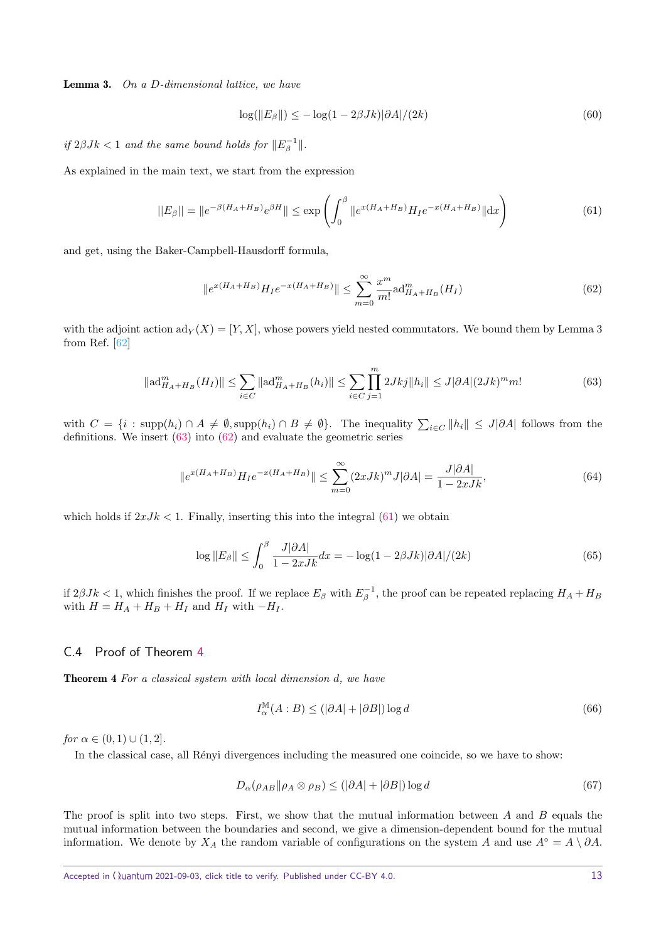Lemma 3. On a *D*-dimensional lattice, we have

$$
\log(\|E_{\beta}\|) \le -\log(1 - 2\beta Jk)|\partial A|/(2k)
$$
\n(60)

 $if 2\beta Jk < 1$  and the same bound holds for  $||E_{\beta}^{-1}||$ .

As explained in the main text, we start from the expression

<span id="page-12-3"></span>
$$
||E_{\beta}|| = ||e^{-\beta(H_A + H_B)} e^{\beta H}|| \le \exp\left(\int_0^{\beta} ||e^{x(H_A + H_B)} H_I e^{-x(H_A + H_B)}|| \, dx\right) \tag{61}
$$

and get, using the Baker-Campbell-Hausdorff formula,

<span id="page-12-2"></span>
$$
||e^{x(H_A+H_B)}H_I e^{-x(H_A+H_B)}|| \le \sum_{m=0}^{\infty} \frac{x^m}{m!} \text{ad}_{H_A+H_B}^m(H_I)
$$
(62)

with the adjoint action  $ad_Y(X) = [Y, X]$ , whose powers yield nested commutators. We bound them by Lemma 3 from Ref. [\[62\]](#page-6-13)

<span id="page-12-1"></span>
$$
\|\mathrm{ad}_{H_A+H_B}^m(H_I)\| \le \sum_{i \in C} \|\mathrm{ad}_{H_A+H_B}^m(h_i)\| \le \sum_{i \in C} \prod_{j=1}^m 2Jkj \|h_i\| \le J|\partial A|(2Jk)^m m! \tag{63}
$$

with  $C = \{i : \text{supp}(h_i) \cap A \neq \emptyset, \text{supp}(h_i) \cap B \neq \emptyset\}$ . The inequality  $\sum_{i \in C} ||h_i|| \leq J|\partial A|$  follows from the definitions. We insert [\(63\)](#page-12-1) into [\(62\)](#page-12-2) and evaluate the geometric series

$$
||e^{x(H_A + H_B)}H_I e^{-x(H_A + H_B)}|| \le \sum_{m=0}^{\infty} (2xJk)^m J|\partial A| = \frac{J|\partial A|}{1 - 2xJk},
$$
\n(64)

which holds if  $2xJk < 1$ . Finally, inserting this into the integral [\(61\)](#page-12-3) we obtain

$$
\log||E_{\beta}|| \le \int_0^{\beta} \frac{J|\partial A|}{1 - 2xJK} dx = -\log(1 - 2\beta Jk)|\partial A|/(2k)
$$
\n(65)

if  $2\beta Jk < 1$ , which finishes the proof. If we replace  $E_\beta$  with  $E_\beta^{-1}$ , the proof can be repeated replacing  $H_A + H_B$ with  $H = H_A + H_B + H_I$  and  $H_I$  with  $-H_I$ .

#### <span id="page-12-0"></span>C.4 Proof of Theorem [4](#page-3-4)

Theorem 4 For a classical system with local dimension *d*, we have

$$
I_{\alpha}^{\mathbb{M}}(A:B) \le (|\partial A| + |\partial B|) \log d \tag{66}
$$

for  $\alpha \in (0,1) \cup (1,2]$ .

In the classical case, all Renyi divergences including the measured one coincide, so we have to show:

$$
D_{\alpha}(\rho_{AB}||\rho_A \otimes \rho_B) \le (|\partial A| + |\partial B|) \log d \tag{67}
$$

The proof is split into two steps. First, we show that the mutual information between *A* and *B* equals the mutual information between the boundaries and second, we give a dimension-dependent bound for the mutual information. We denote by  $X_A$  the random variable of configurations on the system *A* and use  $A^\circ = A \setminus \partial A$ .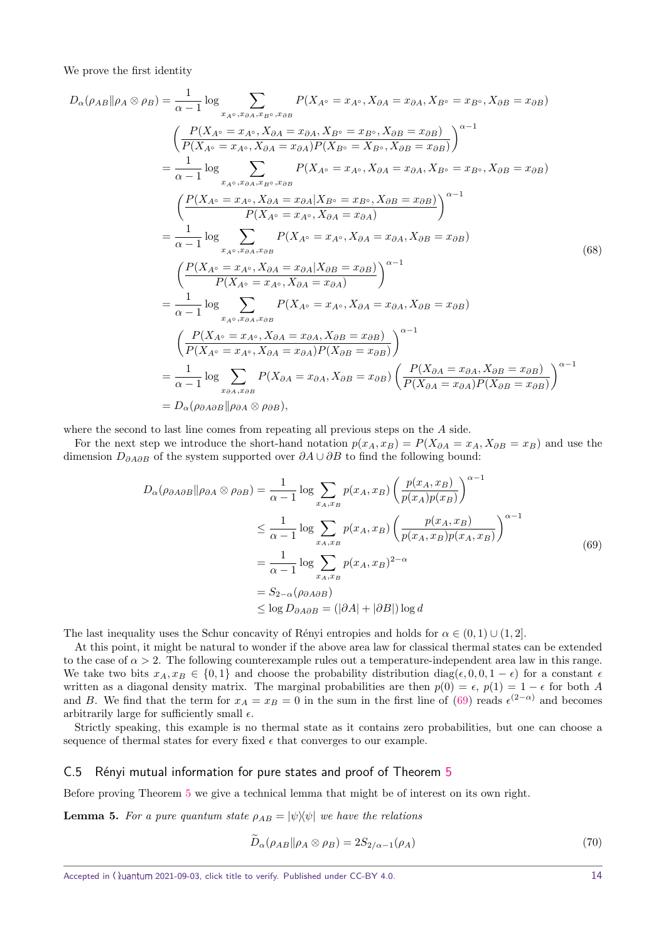We prove the first identity

$$
D_{\alpha}(\rho_{AB}||\rho_{A}\otimes\rho_{B}) = \frac{1}{\alpha - 1} \log \sum_{x_{A^{o}}, x_{BA}, x_{B^{o}}, x_{BB}} P(X_{A^{o}} = x_{A^{o}}, X_{\partial A} = x_{\partial A}, X_{B^{o}} = x_{B^{o}}, X_{\partial B} = x_{\partial B})
$$
  
\n
$$
\left(\frac{P(X_{A^{o}} = x_{A^{o}}, X_{\partial A} = x_{\partial A}, X_{B^{o}} = x_{B^{o}}, X_{\partial B} = x_{\partial B})}{P(X_{B^{o}} = X_{B^{o}}, X_{\partial B} = x_{\partial B})}\right)^{\alpha - 1}
$$
  
\n
$$
= \frac{1}{\alpha - 1} \log \sum_{x_{A^{o}}, x_{\partial A}, x_{B^{o}}, x_{\partial B}} P(X_{A^{o}} = x_{A^{o}}, X_{\partial A} = x_{\partial A}, X_{B^{o}} = x_{B^{o}}, X_{\partial B} = x_{\partial B})
$$
  
\n
$$
\left(\frac{P(X_{A^{o}} = x_{A^{o}}, X_{\partial A} = x_{\partial A}|X_{B^{o}} = x_{B^{o}}, X_{\partial B} = x_{\partial B})}{P(X_{A^{o}} = x_{A^{o}}, X_{\partial A} = x_{\partial A})}\right)^{\alpha - 1}
$$
  
\n
$$
= \frac{1}{\alpha - 1} \log \sum_{x_{A^{o}}, x_{\partial A}, x_{\partial B}} P(X_{A^{o}} = x_{A^{o}}, X_{\partial A} = x_{\partial A}, X_{\partial B} = x_{\partial B})
$$
  
\n
$$
\left(\frac{P(X_{A^{o}} = x_{A^{o}}, X_{\partial A} = x_{\partial A}|X_{\partial B} = x_{\partial B})}{P(X_{A^{o}} = x_{A^{o}}, X_{\partial A} = x_{\partial A}, X_{\partial B} = x_{\partial B})}\right)^{\alpha - 1}
$$
  
\n
$$
= \frac{1}{\alpha - 1} \log \sum_{x_{A^{o}}, x_{\partial A}, x_{\partial B}} P(X_{A^{o}} = x_{A^{o}}, X_{\partial A} = x_{\partial A}, X_{\partial B} = x_{\partial B})
$$
  
\n
$$
= \frac{P(X_{A^{o}} = x_{A^{o}}, X_{\partial A} = x_{\partial A}, X_{\partial B}
$$

where the second to last line comes from repeating all previous steps on the *A* side.

For the next step we introduce the short-hand notation  $p(x_A, x_B) = P(X_{\partial A} = x_A, X_{\partial B} = x_B)$  and use the dimension *D∂A∂B* of the system supported over *∂A* ∪ *∂B* to find the following bound:

<span id="page-13-1"></span>
$$
D_{\alpha}(\rho_{\partial A\partial B}||\rho_{\partial A}\otimes\rho_{\partial B}) = \frac{1}{\alpha - 1} \log \sum_{x_A, x_B} p(x_A, x_B) \left(\frac{p(x_A, x_B)}{p(x_A)p(x_B)}\right)^{\alpha - 1}
$$
  

$$
\leq \frac{1}{\alpha - 1} \log \sum_{x_A, x_B} p(x_A, x_B) \left(\frac{p(x_A, x_B)}{p(x_A, x_B)p(x_A, x_B)}\right)^{\alpha - 1}
$$
  

$$
= \frac{1}{\alpha - 1} \log \sum_{x_A, x_B} p(x_A, x_B)^{2 - \alpha}
$$
  

$$
= S_{2 - \alpha}(\rho_{\partial A\partial B})
$$
  

$$
\leq \log D_{\partial A\partial B} = (|\partial A| + |\partial B|) \log d
$$
 (69)

The last inequality uses the Schur concavity of Rényi entropies and holds for  $\alpha \in (0, 1) \cup (1, 2]$ .

At this point, it might be natural to wonder if the above area law for classical thermal states can be extended to the case of  $\alpha > 2$ . The following counterexample rules out a temperature-independent area law in this range. We take two bits  $x_A, x_B \in \{0, 1\}$  and choose the probability distribution diag( $\epsilon, 0, 0, 1 - \epsilon$ ) for a constant  $\epsilon$ written as a diagonal density matrix. The marginal probabilities are then  $p(0) = \epsilon$ ,  $p(1) = 1 - \epsilon$  for both *A* and *B*. We find that the term for  $x_A = x_B = 0$  in the sum in the first line of [\(69\)](#page-13-1) reads  $\epsilon^{(2-\alpha)}$  and becomes arbitrarily large for sufficiently small  $\epsilon$ .

Strictly speaking, this example is no thermal state as it contains zero probabilities, but one can choose a sequence of thermal states for every fixed  $\epsilon$  that converges to our example.

#### <span id="page-13-0"></span>C.[5](#page-4-4) Rényi mutual information for pure states and proof of Theorem 5

Before proving Theorem [5](#page-4-4) we give a technical lemma that might be of interest on its own right.

<span id="page-13-3"></span>**Lemma 5.** For a pure quantum state  $\rho_{AB} = |\psi\rangle\langle\psi|$  we have the relations

<span id="page-13-2"></span>
$$
\widetilde{D}_{\alpha}(\rho_{AB}||\rho_A \otimes \rho_B) = 2S_{2/\alpha - 1}(\rho_A)
$$
\n(70)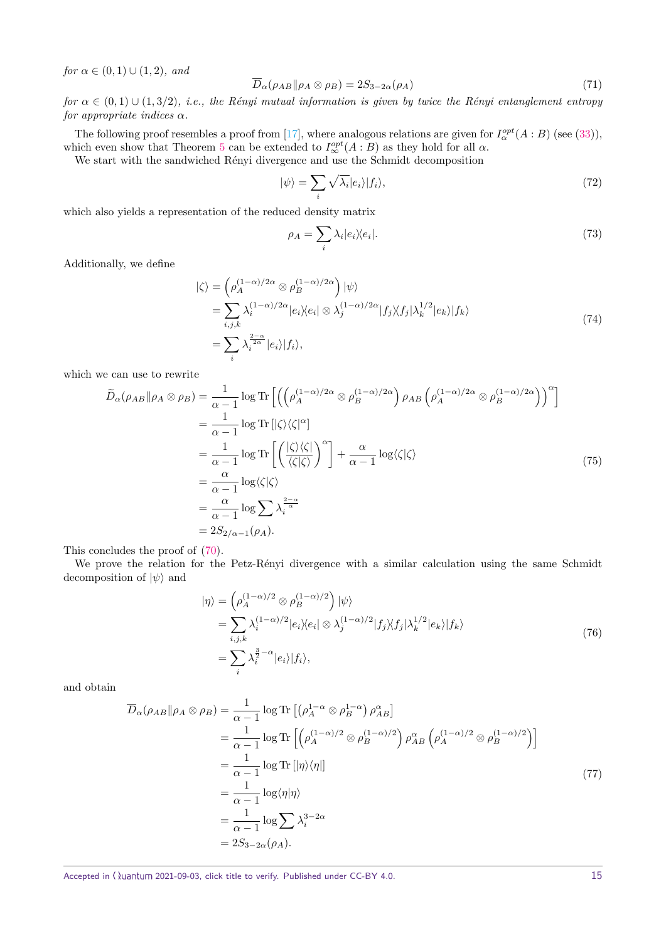*for*  $\alpha \in (0, 1) \cup (1, 2)$ *, and* 

<span id="page-14-0"></span>
$$
\overline{D}_{\alpha}(\rho_{AB}||\rho_A \otimes \rho_B) = 2S_{3-2\alpha}(\rho_A)
$$
\n(71)

*for*  $\alpha \in (0,1) \cup (1,3/2)$ *, i.e., the Rényi mutual information is given by twice the Rényi entanglement entropy for appropriate indices α.*

The following proof resembles a proof from [\[17\]](#page-5-15), where analogous relations are given for  $I^{\text{opt}}_{\alpha}(A:B)$  (see [\(33\)](#page-7-4)), which even show that Theorem [5](#page-4-4) can be extended to  $I^{opt}_{\infty}(A : B)$  as they hold for all  $\alpha$ .

We start with the sandwiched Rényi divergence and use the Schmidt decomposition

$$
|\psi\rangle = \sum_{i} \sqrt{\lambda_i} |e_i\rangle |f_i\rangle,\tag{72}
$$

which also yields a representation of the reduced density matrix

$$
\rho_A = \sum_i \lambda_i |e_i \rangle \langle e_i |. \tag{73}
$$

Additionally, we define

$$
\begin{split} |\zeta\rangle &= \left(\rho_A^{(1-\alpha)/2\alpha} \otimes \rho_B^{(1-\alpha)/2\alpha}\right) |\psi\rangle \\ &= \sum_{i,j,k} \lambda_i^{(1-\alpha)/2\alpha} |e_i\rangle\langle e_i| \otimes \lambda_j^{(1-\alpha)/2\alpha} |f_j\rangle\langle f_j| \lambda_k^{1/2} |e_k\rangle |f_k\rangle \\ &= \sum_i \lambda_i^{2-\alpha} |e_i\rangle |f_i\rangle, \end{split} \tag{74}
$$

which we can use to rewrite

$$
\widetilde{D}_{\alpha}(\rho_{AB}||\rho_{A}\otimes\rho_{B}) = \frac{1}{\alpha - 1}\log \operatorname{Tr}\left[\left(\left(\rho_{A}^{(1-\alpha)/2\alpha}\otimes\rho_{B}^{(1-\alpha)/2\alpha}\right)\rho_{AB}\left(\rho_{A}^{(1-\alpha)/2\alpha}\otimes\rho_{B}^{(1-\alpha)/2\alpha}\right)\right)^{\alpha}\right]
$$
\n
$$
= \frac{1}{\alpha - 1}\log \operatorname{Tr}\left[\left(\frac{|\zeta\rangle\langle\zeta|}{\langle\zeta|\zeta\rangle}\right)^{\alpha}\right] + \frac{\alpha}{\alpha - 1}\log\langle\zeta|\zeta\rangle
$$
\n
$$
= \frac{\alpha}{\alpha - 1}\log\langle\zeta|\zeta\rangle
$$
\n
$$
= \frac{\alpha}{\alpha - 1}\log \sum_{i} \lambda_{i}^{\frac{2-\alpha}{\alpha}}
$$
\n
$$
= 2S_{2/\alpha - 1}(\rho_{A}).
$$
\n(75)

This concludes the proof of [\(70\)](#page-13-2).

We prove the relation for the Petz-Rényi divergence with a similar calculation using the same Schmidt decomposition of  $|\psi\rangle$  and

$$
\begin{split} |\eta\rangle &= \left(\rho_A^{(1-\alpha)/2} \otimes \rho_B^{(1-\alpha)/2}\right) |\psi\rangle \\ &= \sum_{i,j,k} \lambda_i^{(1-\alpha)/2} |e_i\rangle \langle e_i| \otimes \lambda_j^{(1-\alpha)/2} |f_j\rangle \langle f_j| \lambda_k^{1/2} |e_k\rangle |f_k\rangle \\ &= \sum_i \lambda_i^{\frac{3}{2}-\alpha} |e_i\rangle |f_i\rangle, \end{split} \tag{76}
$$

and obtain

$$
\overline{D}_{\alpha}(\rho_{AB} \|\rho_A \otimes \rho_B) = \frac{1}{\alpha - 1} \log \text{Tr} \left[ \left( \rho_A^{1 - \alpha} \otimes \rho_B^{1 - \alpha} \right) \rho_{AB}^{\alpha} \right]
$$
\n
$$
= \frac{1}{\alpha - 1} \log \text{Tr} \left[ \left( \rho_A^{(1 - \alpha)/2} \otimes \rho_B^{(1 - \alpha)/2} \right) \rho_{AB}^{\alpha} \left( \rho_A^{(1 - \alpha)/2} \otimes \rho_B^{(1 - \alpha)/2} \right) \right]
$$
\n
$$
= \frac{1}{\alpha - 1} \log \text{Tr} \left[ |\eta\rangle\langle\eta| \right]
$$
\n
$$
= \frac{1}{\alpha - 1} \log \langle \eta| \eta \rangle
$$
\n
$$
= \frac{1}{\alpha - 1} \log \sum_{i} \lambda_i^{3 - 2\alpha}
$$
\n
$$
= 2S_{3 - 2\alpha}(\rho_A).
$$
\n(77)

Accepted in ( ) uantum 2021-09-03, click title to verify. Published under CC-BY 4.0. 15